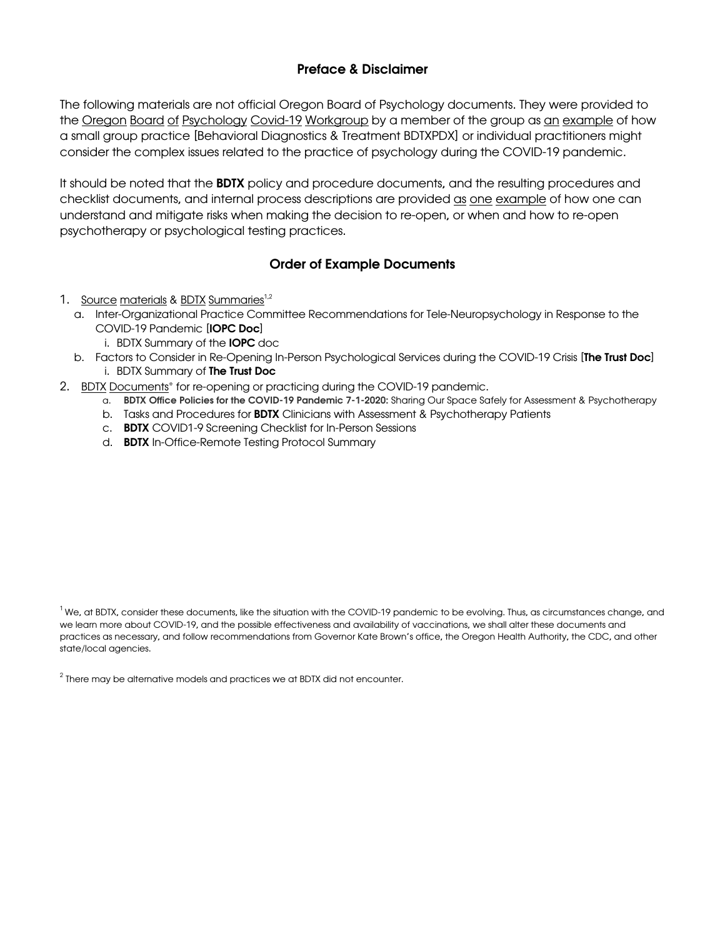### Preface & Disclaimer

The following materials are not official Oregon Board of Psychology documents. They were provided to the Oregon Board of Psychology Covid-19 Workgroup by a member of the group as an example of how a small group practice [Behavioral Diagnostics & Treatment BDTXPDX] or individual practitioners might consider the complex issues related to the practice of psychology during the COVID-19 pandemic.

It should be noted that the **BDTX** policy and procedure documents, and the resulting procedures and checklist documents, and internal process descriptions are provided as one example of how one can understand and mitigate risks when making the decision to re-open, or when and how to re-open psychotherapy or psychological testing practices.

## Order of Example Documents

- 1. Source materials & BDTX Summaries<sup>1,2</sup>
	- a. Inter-Organizational Practice Committee Recommendations for Tele-Neuropsychology in Response to the COVID-19 Pandemic [IOPC Doc]
		- i. BDTX Summary of the IOPC doc
	- b. Factors to Consider in Re-Opening In-Person Psychological Services during the COVID-19 Crisis [The Trust Doc] i. BDTX Summary of The Trust Doc
- 2. BDTX Documents\* for re-opening or practicing during the COVID-19 pandemic.
	- a. BDTX Office Policies for the COVID-19 Pandemic 7-1-2020: Sharing Our Space Safely for Assessment & Psychotherapy
	- b. Tasks and Procedures for BDTX Clinicians with Assessment & Psychotherapy Patients
	- c. BDTX COVID1-9 Screening Checklist for In-Person Sessions
	- d. BDTX In-Office-Remote Testing Protocol Summary

 $^{\rm 1}$ We, at BDTX, consider these documents, like the situation with the COVID-19 pandemic to be evolving. Thus, as circumstances change, and we learn more about COVID-19, and the possible effectiveness and availability of vaccinations, we shall alter these documents and practices as necessary, and follow recommendations from Governor Kate Brown's office, the Oregon Health Authority, the CDC, and other state/local agencies.

 $2$  There may be alternative models and practices we at BDTX did not encounter.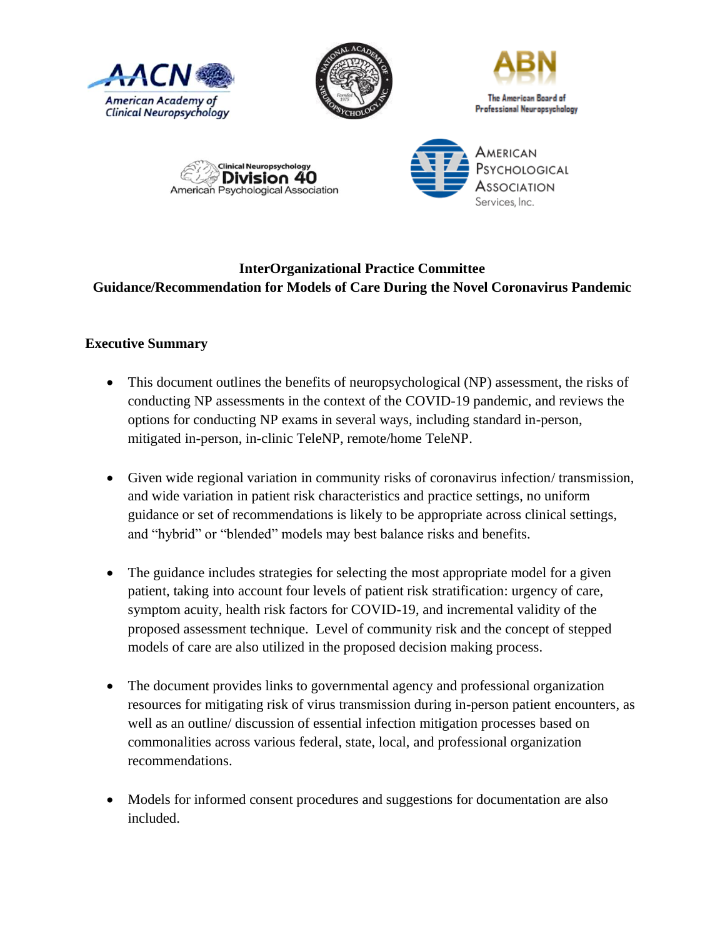









# **InterOrganizational Practice Committee Guidance/Recommendation for Models of Care During the Novel Coronavirus Pandemic**

## **Executive Summary**

- This document outlines the benefits of neuropsychological (NP) assessment, the risks of conducting NP assessments in the context of the COVID-19 pandemic, and reviews the options for conducting NP exams in several ways, including standard in-person, mitigated in-person, in-clinic TeleNP, remote/home TeleNP.
- Given wide regional variation in community risks of coronavirus infection/ transmission, and wide variation in patient risk characteristics and practice settings, no uniform guidance or set of recommendations is likely to be appropriate across clinical settings, and "hybrid" or "blended" models may best balance risks and benefits.
- The guidance includes strategies for selecting the most appropriate model for a given patient, taking into account four levels of patient risk stratification: urgency of care, symptom acuity, health risk factors for COVID-19, and incremental validity of the proposed assessment technique. Level of community risk and the concept of stepped models of care are also utilized in the proposed decision making process.
- The document provides links to governmental agency and professional organization resources for mitigating risk of virus transmission during in-person patient encounters, as well as an outline/ discussion of essential infection mitigation processes based on commonalities across various federal, state, local, and professional organization recommendations.
- Models for informed consent procedures and suggestions for documentation are also included.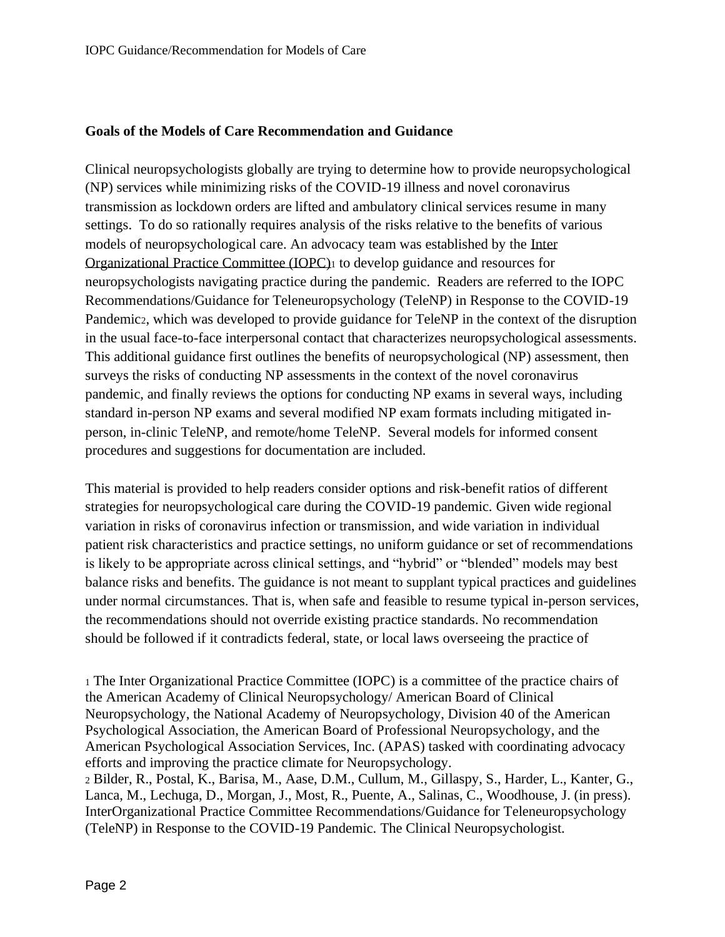### **Goals of the Models of Care Recommendation and Guidance**

Clinical neuropsychologists globally are trying to determine how to provide neuropsychological (NP) services while minimizing risks of the COVID-19 illness and novel coronavirus transmission as lockdown orders are lifted and ambulatory clinical services resume in many settings. To do so rationally requires analysis of the risks relative to the benefits of various models of neuropsychological care. An advocacy team was established by the [Inter](https://iopc.online/)  [Organizational Practice Committee \(IOPC\)](https://iopc.online/)<sup>1</sup> to develop guidance and resources for neuropsychologists navigating practice during the pandemic. Readers are referred to the IOPC Recommendations/Guidance for Teleneuropsychology (TeleNP) in Response to the COVID-19 Pandemic2, which was developed to provide guidance for TeleNP in the context of the disruption in the usual face-to-face interpersonal contact that characterizes neuropsychological assessments. This additional guidance first outlines the benefits of neuropsychological (NP) assessment, then surveys the risks of conducting NP assessments in the context of the novel coronavirus pandemic, and finally reviews the options for conducting NP exams in several ways, including standard in-person NP exams and several modified NP exam formats including mitigated inperson, in-clinic TeleNP, and remote/home TeleNP. Several models for informed consent procedures and suggestions for documentation are included.

This material is provided to help readers consider options and risk-benefit ratios of different strategies for neuropsychological care during the COVID-19 pandemic. Given wide regional variation in risks of coronavirus infection or transmission, and wide variation in individual patient risk characteristics and practice settings, no uniform guidance or set of recommendations is likely to be appropriate across clinical settings, and "hybrid" or "blended" models may best balance risks and benefits. The guidance is not meant to supplant typical practices and guidelines under normal circumstances. That is, when safe and feasible to resume typical in-person services, the recommendations should not override existing practice standards. No recommendation should be followed if it contradicts federal, state, or local laws overseeing the practice of

<sup>1</sup> The Inter Organizational Practice Committee (IOPC) is a committee of the practice chairs of the American Academy of Clinical Neuropsychology/ American Board of Clinical Neuropsychology, the National Academy of Neuropsychology, Division 40 of the American Psychological Association, the American Board of Professional Neuropsychology, and the American Psychological Association Services, Inc. (APAS) tasked with coordinating advocacy efforts and improving the practice climate for Neuropsychology.

<sup>2</sup> Bilder, R., Postal, K., Barisa, M., Aase, D.M., Cullum, M., Gillaspy, S., Harder, L., Kanter, G., Lanca, M., Lechuga, D., Morgan, J., Most, R., Puente, A., Salinas, C., Woodhouse, J. (in press). InterOrganizational Practice Committee Recommendations/Guidance for Teleneuropsychology (TeleNP) in Response to the COVID-19 Pandemic. The Clinical Neuropsychologist.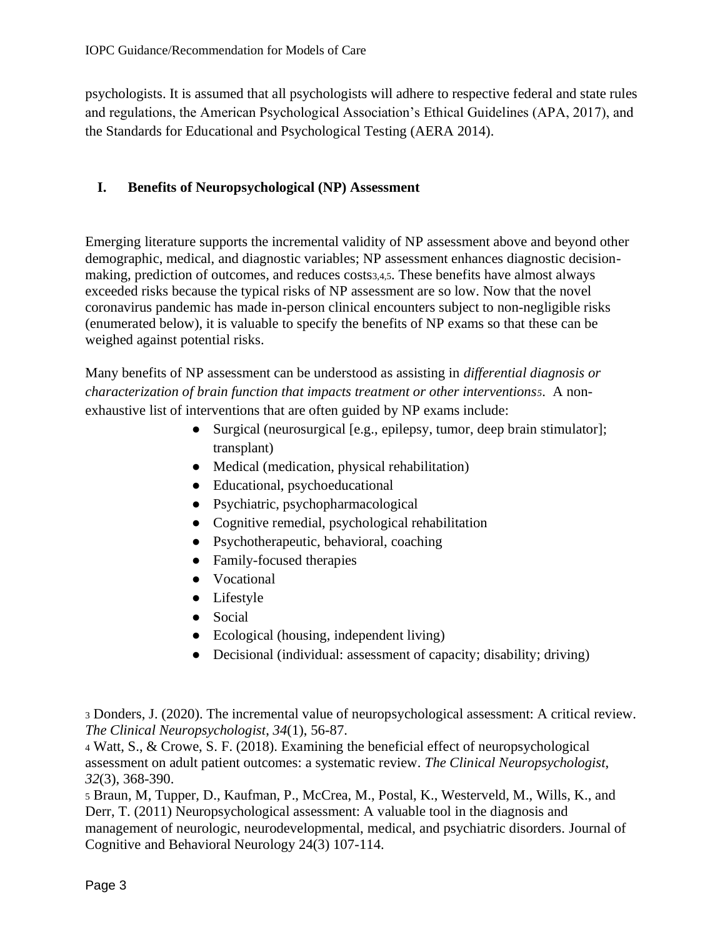psychologists. It is assumed that all psychologists will adhere to respective federal and state rules and regulations, the American Psychological Association's Ethical Guidelines (APA, 2017), and the Standards for Educational and Psychological Testing (AERA 2014).

### **I. Benefits of Neuropsychological (NP) Assessment**

Emerging literature supports the incremental validity of NP assessment above and beyond other demographic, medical, and diagnostic variables; NP assessment enhances diagnostic decisionmaking, prediction of outcomes, and reduces costs3,4,5. These benefits have almost always exceeded risks because the typical risks of NP assessment are so low. Now that the novel coronavirus pandemic has made in-person clinical encounters subject to non-negligible risks (enumerated below), it is valuable to specify the benefits of NP exams so that these can be weighed against potential risks.

Many benefits of NP assessment can be understood as assisting in *differential diagnosis or characterization of brain function that impacts treatment or other interventions5*. A nonexhaustive list of interventions that are often guided by NP exams include:

- Surgical (neurosurgical [e.g., epilepsy, tumor, deep brain stimulator]; transplant)
- Medical (medication, physical rehabilitation)
- Educational, psychoeducational
- Psychiatric, psychopharmacological
- Cognitive remedial, psychological rehabilitation
- Psychotherapeutic, behavioral, coaching
- Family-focused therapies
- Vocational
- Lifestyle
- Social
- Ecological (housing, independent living)
- Decisional (individual: assessment of capacity; disability; driving)

<sup>4</sup> Watt, S., & Crowe, S. F. (2018). Examining the beneficial effect of neuropsychological assessment on adult patient outcomes: a systematic review. *The Clinical Neuropsychologist*, *32*(3), 368-390.

<sup>5</sup> Braun, M, Tupper, D., Kaufman, P., McCrea, M., Postal, K., Westerveld, M., Wills, K., and Derr, T. (2011) Neuropsychological assessment: A valuable tool in the diagnosis and management of neurologic, neurodevelopmental, medical, and psychiatric disorders. Journal of Cognitive and Behavioral Neurology 24(3) 107-114.

<sup>3</sup> Donders, J. (2020). The incremental value of neuropsychological assessment: A critical review. *The Clinical Neuropsychologist*, *34*(1), 56-87.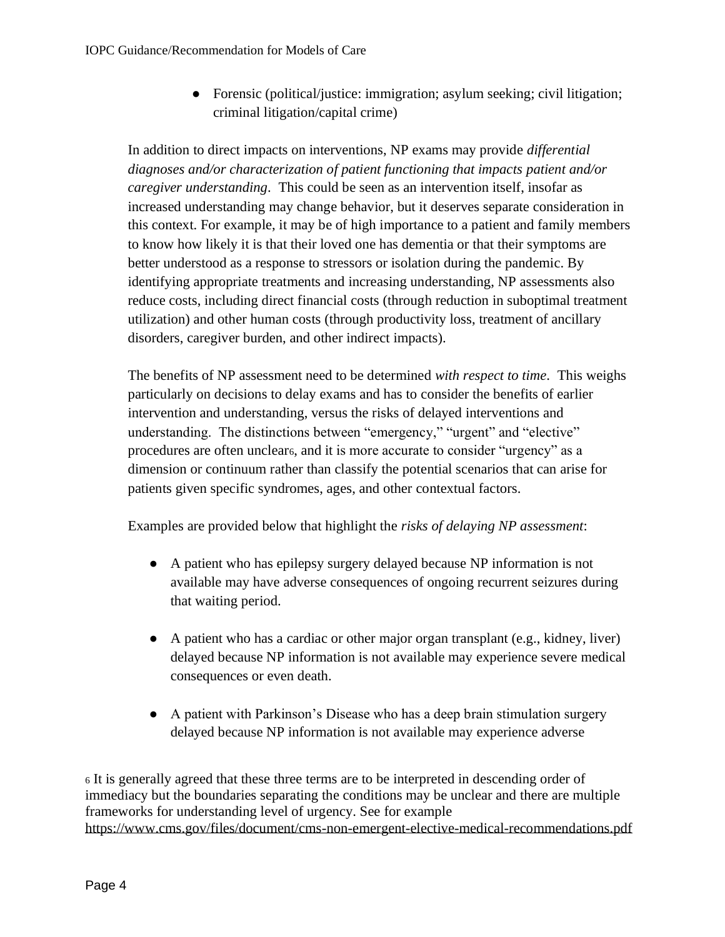● Forensic (political/justice: immigration; asylum seeking; civil litigation; criminal litigation/capital crime)

In addition to direct impacts on interventions, NP exams may provide *differential diagnoses and/or characterization of patient functioning that impacts patient and/or caregiver understanding*. This could be seen as an intervention itself, insofar as increased understanding may change behavior, but it deserves separate consideration in this context. For example, it may be of high importance to a patient and family members to know how likely it is that their loved one has dementia or that their symptoms are better understood as a response to stressors or isolation during the pandemic. By identifying appropriate treatments and increasing understanding, NP assessments also reduce costs, including direct financial costs (through reduction in suboptimal treatment utilization) and other human costs (through productivity loss, treatment of ancillary disorders, caregiver burden, and other indirect impacts).

The benefits of NP assessment need to be determined *with respect to time*. This weighs particularly on decisions to delay exams and has to consider the benefits of earlier intervention and understanding, versus the risks of delayed interventions and understanding. The distinctions between "emergency," "urgent" and "elective" procedures are often unclear6, and it is more accurate to consider "urgency" as a dimension or continuum rather than classify the potential scenarios that can arise for patients given specific syndromes, ages, and other contextual factors.

Examples are provided below that highlight the *risks of delaying NP assessment*:

- A patient who has epilepsy surgery delayed because NP information is not available may have adverse consequences of ongoing recurrent seizures during that waiting period.
- A patient who has a cardiac or other major organ transplant (e.g., kidney, liver) delayed because NP information is not available may experience severe medical consequences or even death.
- A patient with Parkinson's Disease who has a deep brain stimulation surgery delayed because NP information is not available may experience adverse

<sup>6</sup> It is generally agreed that these three terms are to be interpreted in descending order of immediacy but the boundaries separating the conditions may be unclear and there are multiple frameworks for understanding level of urgency. See for example <https://www.cms.gov/files/document/cms-non-emergent-elective-medical-recommendations.pdf>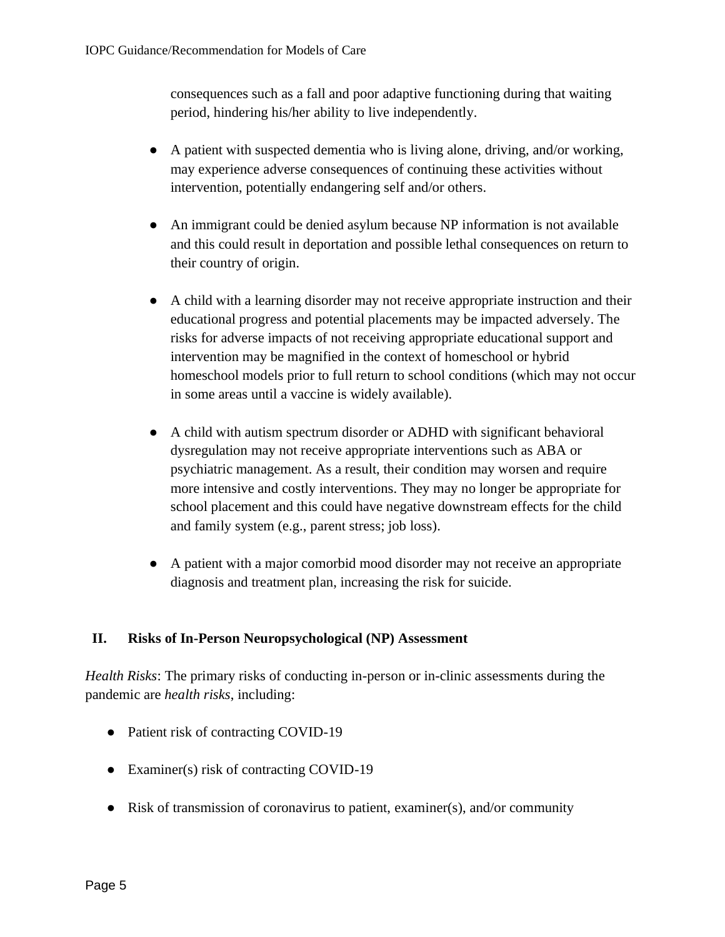consequences such as a fall and poor adaptive functioning during that waiting period, hindering his/her ability to live independently.

- A patient with suspected dementia who is living alone, driving, and/or working, may experience adverse consequences of continuing these activities without intervention, potentially endangering self and/or others.
- An immigrant could be denied asylum because NP information is not available and this could result in deportation and possible lethal consequences on return to their country of origin.
- A child with a learning disorder may not receive appropriate instruction and their educational progress and potential placements may be impacted adversely. The risks for adverse impacts of not receiving appropriate educational support and intervention may be magnified in the context of homeschool or hybrid homeschool models prior to full return to school conditions (which may not occur in some areas until a vaccine is widely available).
- A child with autism spectrum disorder or ADHD with significant behavioral dysregulation may not receive appropriate interventions such as ABA or psychiatric management. As a result, their condition may worsen and require more intensive and costly interventions. They may no longer be appropriate for school placement and this could have negative downstream effects for the child and family system (e.g., parent stress; job loss).
- A patient with a major comorbid mood disorder may not receive an appropriate diagnosis and treatment plan, increasing the risk for suicide.

## **II. Risks of In-Person Neuropsychological (NP) Assessment**

*Health Risks*: The primary risks of conducting in-person or in-clinic assessments during the pandemic are *health risks*, including:

- Patient risk of contracting COVID-19
- Examiner(s) risk of contracting COVID-19
- Risk of transmission of coronavirus to patient, examiner(s), and/or community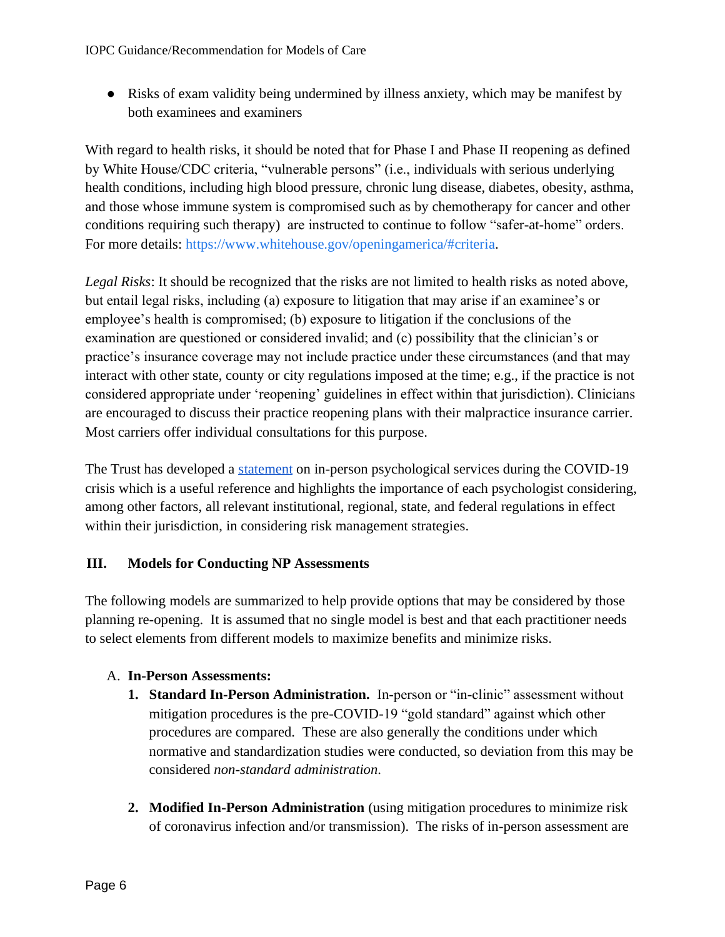● Risks of exam validity being undermined by illness anxiety, which may be manifest by both examinees and examiners

With regard to health risks, it should be noted that for Phase I and Phase II reopening as defined by White House/CDC criteria, "vulnerable persons" (i.e., individuals with serious underlying health conditions, including high blood pressure, chronic lung disease, diabetes, obesity, asthma, and those whose immune system is compromised such as by chemotherapy for cancer and other conditions requiring such therapy) are instructed to continue to follow "safer-at-home" orders. For more details: [https://www.whitehouse.gov/openingamerica/#criteria.](https://www.whitehouse.gov/openingamerica/#criteria)

*Legal Risks*: It should be recognized that the risks are not limited to health risks as noted above, but entail legal risks, including (a) exposure to litigation that may arise if an examinee's or employee's health is compromised; (b) exposure to litigation if the conclusions of the examination are questioned or considered invalid; and (c) possibility that the clinician's or practice's insurance coverage may not include practice under these circumstances (and that may interact with other state, county or city regulations imposed at the time; e.g., if the practice is not considered appropriate under 'reopening' guidelines in effect within that jurisdiction). Clinicians are encouraged to discuss their practice reopening plans with their malpractice insurance carrier. Most carriers offer individual consultations for this purpose.

The Trust has developed a [statement](https://parma.trustinsurance.com/Portals/0/documents/The%20Trust) on in-person psychological services during the COVID-19 crisis which is a useful reference and highlights the importance of each psychologist considering, among other factors, all relevant institutional, regional, state, and federal regulations in effect within their jurisdiction, in considering risk management strategies.

## **III. Models for Conducting NP Assessments**

The following models are summarized to help provide options that may be considered by those planning re-opening. It is assumed that no single model is best and that each practitioner needs to select elements from different models to maximize benefits and minimize risks.

## A. **In-Person Assessments:**

- **1. Standard In-Person Administration.** In-person or "in-clinic" assessment without mitigation procedures is the pre-COVID-19 "gold standard" against which other procedures are compared. These are also generally the conditions under which normative and standardization studies were conducted, so deviation from this may be considered *non-standard administration*.
- **2. Modified In-Person Administration** (using mitigation procedures to minimize risk of coronavirus infection and/or transmission). The risks of in-person assessment are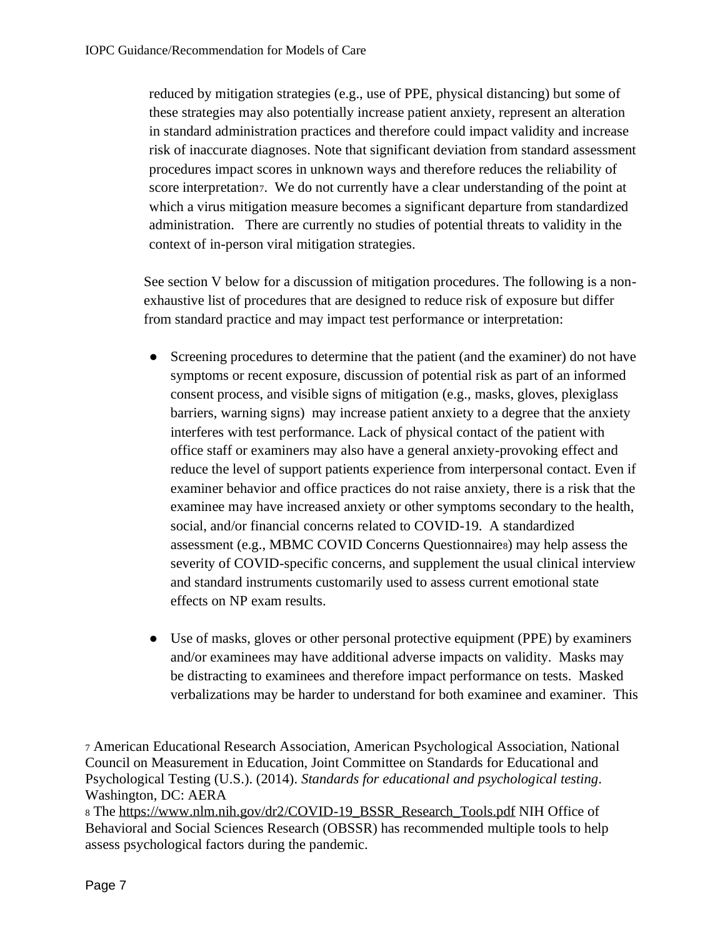reduced by mitigation strategies (e.g., use of PPE, physical distancing) but some of these strategies may also potentially increase patient anxiety, represent an alteration in standard administration practices and therefore could impact validity and increase risk of inaccurate diagnoses. Note that significant deviation from standard assessment procedures impact scores in unknown ways and therefore reduces the reliability of score interpretation7. We do not currently have a clear understanding of the point at which a virus mitigation measure becomes a significant departure from standardized administration. There are currently no studies of potential threats to validity in the context of in-person viral mitigation strategies.

See section V below for a discussion of mitigation procedures. The following is a nonexhaustive list of procedures that are designed to reduce risk of exposure but differ from standard practice and may impact test performance or interpretation:

- Screening procedures to determine that the patient (and the examiner) do not have symptoms or recent exposure, discussion of potential risk as part of an informed consent process, and visible signs of mitigation (e.g., masks, gloves, plexiglass barriers, warning signs) may increase patient anxiety to a degree that the anxiety interferes with test performance. Lack of physical contact of the patient with office staff or examiners may also have a general anxiety-provoking effect and reduce the level of support patients experience from interpersonal contact. Even if examiner behavior and office practices do not raise anxiety, there is a risk that the examinee may have increased anxiety or other symptoms secondary to the health, social, and/or financial concerns related to COVID-19. A standardized assessment (e.g., MBMC COVID Concerns Questionnaire8) may help assess the severity of COVID-specific concerns, and supplement the usual clinical interview and standard instruments customarily used to assess current emotional state effects on NP exam results.
- Use of masks, gloves or other personal protective equipment (PPE) by examiners and/or examinees may have additional adverse impacts on validity. Masks may be distracting to examinees and therefore impact performance on tests. Masked verbalizations may be harder to understand for both examinee and examiner. This

<sup>7</sup> American Educational Research Association, American Psychological Association, National Council on Measurement in Education, Joint Committee on Standards for Educational and Psychological Testing (U.S.). (2014). *Standards for educational and psychological testing*. Washington, DC: AERA

<sup>8</sup> The [https://www.nlm.nih.gov/dr2/COVID-19\\_BSSR\\_Research\\_Tools.pdf](https://www.nlm.nih.gov/dr2/COVID-19_BSSR_Research_Tools.pdf) NIH Office of Behavioral and Social Sciences Research (OBSSR) has recommended multiple tools to help assess psychological factors during the pandemic.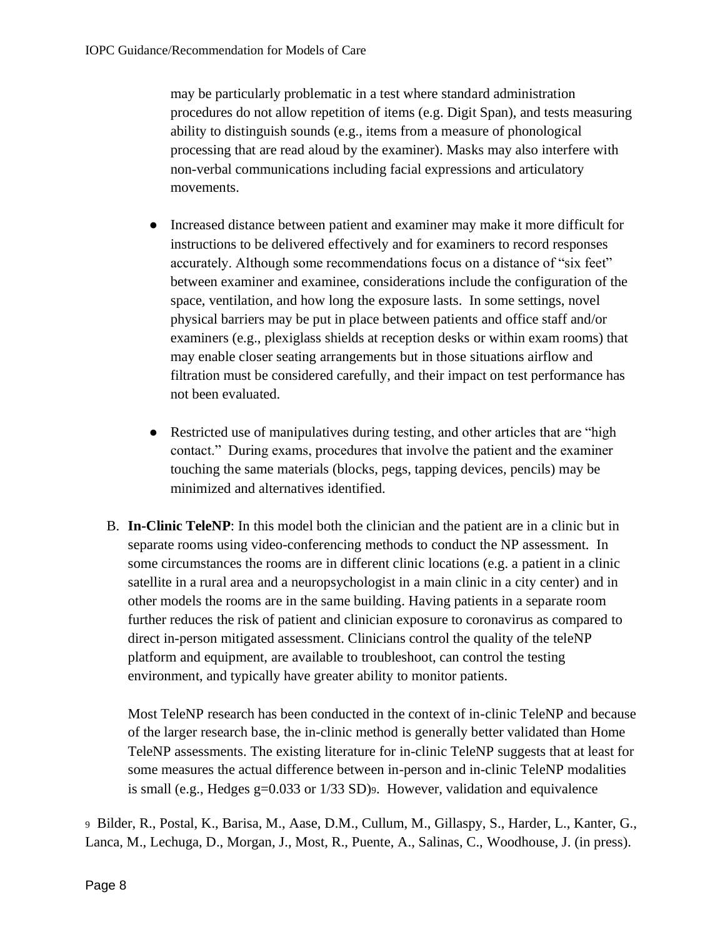may be particularly problematic in a test where standard administration procedures do not allow repetition of items (e.g. Digit Span), and tests measuring ability to distinguish sounds (e.g., items from a measure of phonological processing that are read aloud by the examiner). Masks may also interfere with non-verbal communications including facial expressions and articulatory movements.

- Increased distance between patient and examiner may make it more difficult for instructions to be delivered effectively and for examiners to record responses accurately. Although some recommendations focus on a distance of "six feet" between examiner and examinee, considerations include the configuration of the space, ventilation, and how long the exposure lasts. In some settings, novel physical barriers may be put in place between patients and office staff and/or examiners (e.g., plexiglass shields at reception desks or within exam rooms) that may enable closer seating arrangements but in those situations airflow and filtration must be considered carefully, and their impact on test performance has not been evaluated.
- Restricted use of manipulatives during testing, and other articles that are "high contact." During exams, procedures that involve the patient and the examiner touching the same materials (blocks, pegs, tapping devices, pencils) may be minimized and alternatives identified.
- B. **In-Clinic TeleNP**: In this model both the clinician and the patient are in a clinic but in separate rooms using video-conferencing methods to conduct the NP assessment. In some circumstances the rooms are in different clinic locations (e.g. a patient in a clinic satellite in a rural area and a neuropsychologist in a main clinic in a city center) and in other models the rooms are in the same building. Having patients in a separate room further reduces the risk of patient and clinician exposure to coronavirus as compared to direct in-person mitigated assessment. Clinicians control the quality of the teleNP platform and equipment, are available to troubleshoot, can control the testing environment, and typically have greater ability to monitor patients.

Most TeleNP research has been conducted in the context of in-clinic TeleNP and because of the larger research base, the in-clinic method is generally better validated than Home TeleNP assessments. The existing literature for in-clinic TeleNP suggests that at least for some measures the actual difference between in-person and in-clinic TeleNP modalities is small (e.g., Hedges g=0.033 or 1/33 SD)9. However, validation and equivalence

<sup>9</sup> Bilder, R., Postal, K., Barisa, M., Aase, D.M., Cullum, M., Gillaspy, S., Harder, L., Kanter, G., Lanca, M., Lechuga, D., Morgan, J., Most, R., Puente, A., Salinas, C., Woodhouse, J. (in press).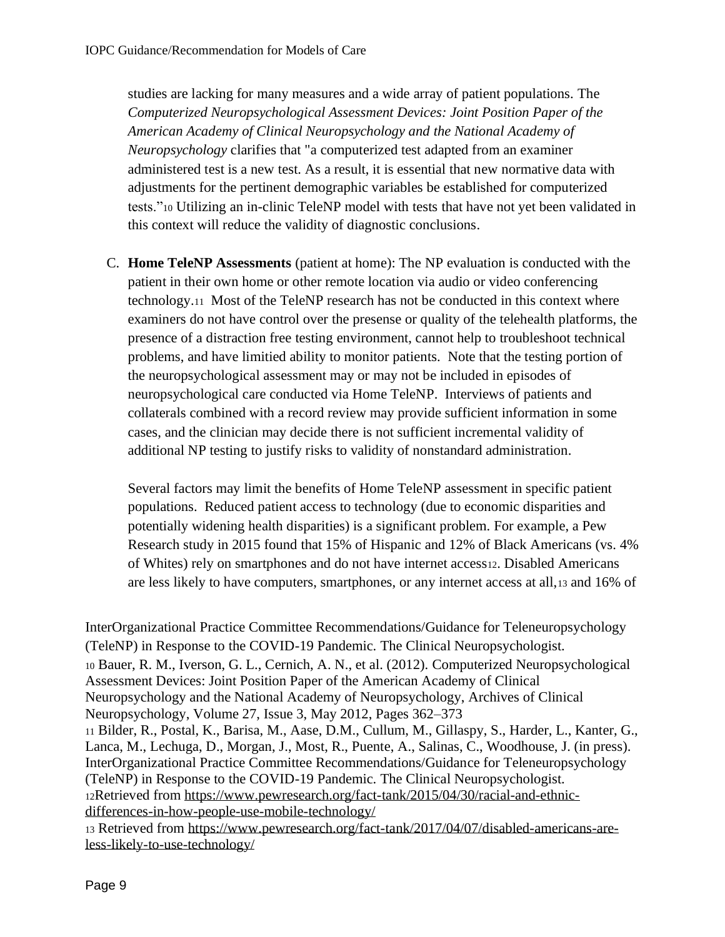studies are lacking for many measures and a wide array of patient populations. The *Computerized Neuropsychological Assessment Devices: Joint Position Paper of the American Academy of Clinical Neuropsychology and the National Academy of Neuropsychology* clarifies that "a computerized test adapted from an examiner administered test is a new test. As a result, it is essential that new normative data with adjustments for the pertinent demographic variables be established for computerized tests."<sup>10</sup> Utilizing an in-clinic TeleNP model with tests that have not yet been validated in this context will reduce the validity of diagnostic conclusions.

C. **Home TeleNP Assessments** (patient at home): The NP evaluation is conducted with the patient in their own home or other remote location via audio or video conferencing technology.11 Most of the TeleNP research has not be conducted in this context where examiners do not have control over the presense or quality of the telehealth platforms, the presence of a distraction free testing environment, cannot help to troubleshoot technical problems, and have limitied ability to monitor patients. Note that the testing portion of the neuropsychological assessment may or may not be included in episodes of neuropsychological care conducted via Home TeleNP. Interviews of patients and collaterals combined with a record review may provide sufficient information in some cases, and the clinician may decide there is not sufficient incremental validity of additional NP testing to justify risks to validity of nonstandard administration.

Several factors may limit the benefits of Home TeleNP assessment in specific patient populations. Reduced patient access to technology (due to economic disparities and potentially widening health disparities) is a significant problem. For example, a Pew Research study in 2015 found that 15% of Hispanic and 12% of Black Americans (vs. 4% of Whites) rely on smartphones and do not have internet access12. Disabled Americans are less likely to have computers, smartphones, or any internet access at all,<sup>13</sup> and 16% of

InterOrganizational Practice Committee Recommendations/Guidance for Teleneuropsychology (TeleNP) in Response to the COVID-19 Pandemic. The Clinical Neuropsychologist. <sup>10</sup> Bauer, R. M., Iverson, G. L., Cernich, A. N., et al. (2012). Computerized Neuropsychological Assessment Devices: Joint Position Paper of the American Academy of Clinical Neuropsychology and the National Academy of Neuropsychology, Archives of Clinical Neuropsychology, Volume 27, Issue 3, May 2012, Pages 362–373 <sup>11</sup> Bilder, R., Postal, K., Barisa, M., Aase, D.M., Cullum, M., Gillaspy, S., Harder, L., Kanter, G., Lanca, M., Lechuga, D., Morgan, J., Most, R., Puente, A., Salinas, C., Woodhouse, J. (in press). InterOrganizational Practice Committee Recommendations/Guidance for Teleneuropsychology (TeleNP) in Response to the COVID-19 Pandemic. The Clinical Neuropsychologist. 12Retrieved from [https://www.pewresearch.org/fact-tank/2015/04/30/racial-and-ethnic](https://www.pewresearch.org/fact-tank/2015/04/30/racial-and-ethnic-differences-in-how-people-use-mobile-technology/)[differences-in-how-people-use-mobile-technology/](https://www.pewresearch.org/fact-tank/2015/04/30/racial-and-ethnic-differences-in-how-people-use-mobile-technology/) <sup>13</sup> Retrieved from [https://www.pewresearch.org/fact-tank/2017/04/07/disabled-americans-are-](https://www.pewresearch.org/fact-tank/2017/04/07/disabled-americans-are-less-likely-to-use-technology/)

[less-likely-to-use-technology/](https://www.pewresearch.org/fact-tank/2017/04/07/disabled-americans-are-less-likely-to-use-technology/)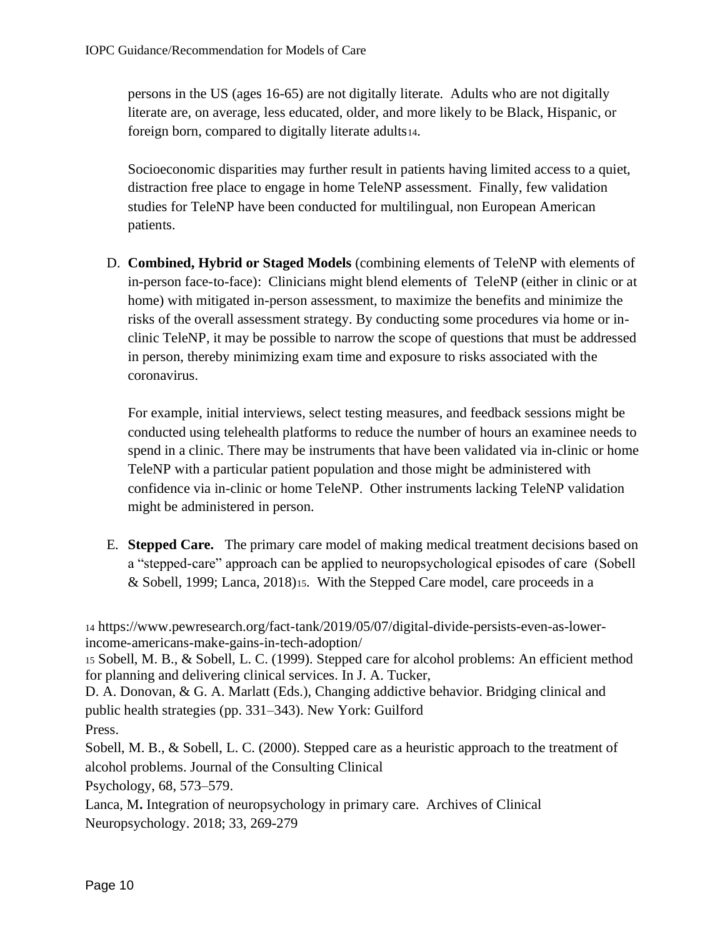persons in the US (ages 16-65) are not digitally literate. Adults who are not digitally literate are, on average, less educated, older, and more likely to be Black, Hispanic, or foreign born, compared to digitally literate adults14.

Socioeconomic disparities may further result in patients having limited access to a quiet, distraction free place to engage in home TeleNP assessment. Finally, few validation studies for TeleNP have been conducted for multilingual, non European American patients.

D. **Combined, Hybrid or Staged Models** (combining elements of TeleNP with elements of in-person face-to-face): Clinicians might blend elements of TeleNP (either in clinic or at home) with mitigated in-person assessment, to maximize the benefits and minimize the risks of the overall assessment strategy. By conducting some procedures via home or inclinic TeleNP, it may be possible to narrow the scope of questions that must be addressed in person, thereby minimizing exam time and exposure to risks associated with the coronavirus.

For example, initial interviews, select testing measures, and feedback sessions might be conducted using telehealth platforms to reduce the number of hours an examinee needs to spend in a clinic. There may be instruments that have been validated via in-clinic or home TeleNP with a particular patient population and those might be administered with confidence via in-clinic or home TeleNP. Other instruments lacking TeleNP validation might be administered in person.

E. **Stepped Care.** The primary care model of making medical treatment decisions based on a "stepped-care" approach can be applied to neuropsychological episodes of care (Sobell & Sobell, 1999; Lanca, 2018)15. With the Stepped Care model, care proceeds in a

<sup>14</sup> [https://www.pewresearch.org/fact-tank/2019/05/07/digital-divide-persists-even-as-lower](https://www.pewresearch.org/fact-tank/2019/05/07/digital-divide-persists-even-as-lower-income-americans-make-gains-in-tech-adoption/)[income-americans-make-gains-in-tech-adoption/](https://www.pewresearch.org/fact-tank/2019/05/07/digital-divide-persists-even-as-lower-income-americans-make-gains-in-tech-adoption/) 

<sup>15</sup> Sobell, M. B., & Sobell, L. C. (1999). Stepped care for alcohol problems: An efficient method for planning and delivering clinical services. In J. A. Tucker,

D. A. Donovan, & G. A. Marlatt (Eds.), Changing addictive behavior. Bridging clinical and public health strategies (pp. 331–343). New York: Guilford Press.

Sobell, M. B., & Sobell, L. C. (2000). Stepped care as a heuristic approach to the treatment of alcohol problems. Journal of the Consulting Clinical

Psychology, 68, 573–579.

Lanca, M**.** Integration of neuropsychology in primary care. Archives of Clinical Neuropsychology. 2018; 33, 269-279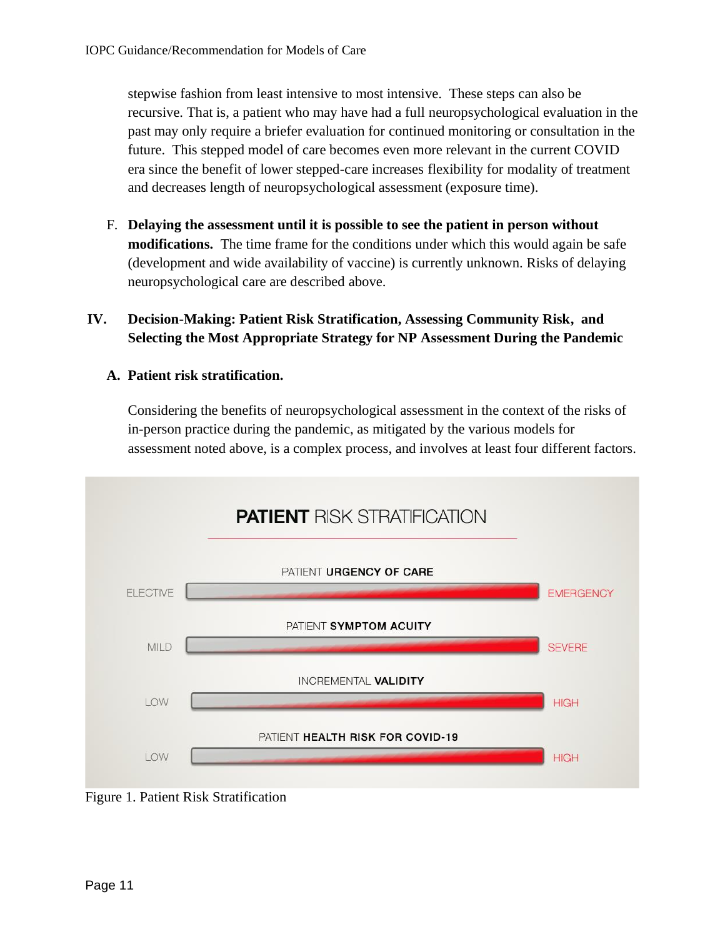stepwise fashion from least intensive to most intensive. These steps can also be recursive. That is, a patient who may have had a full neuropsychological evaluation in the past may only require a briefer evaluation for continued monitoring or consultation in the future. This stepped model of care becomes even more relevant in the current COVID era since the benefit of lower stepped-care increases flexibility for modality of treatment and decreases length of neuropsychological assessment (exposure time).

F. **Delaying the assessment until it is possible to see the patient in person without modifications.** The time frame for the conditions under which this would again be safe (development and wide availability of vaccine) is currently unknown. Risks of delaying neuropsychological care are described above.

## **IV. Decision-Making: Patient Risk Stratification, Assessing Community Risk, and Selecting the Most Appropriate Strategy for NP Assessment During the Pandemic**

## **A. Patient risk stratification.**

Considering the benefits of neuropsychological assessment in the context of the risks of in-person practice during the pandemic, as mitigated by the various models for assessment noted above, is a complex process, and involves at least four different factors.



Figure 1. Patient Risk Stratification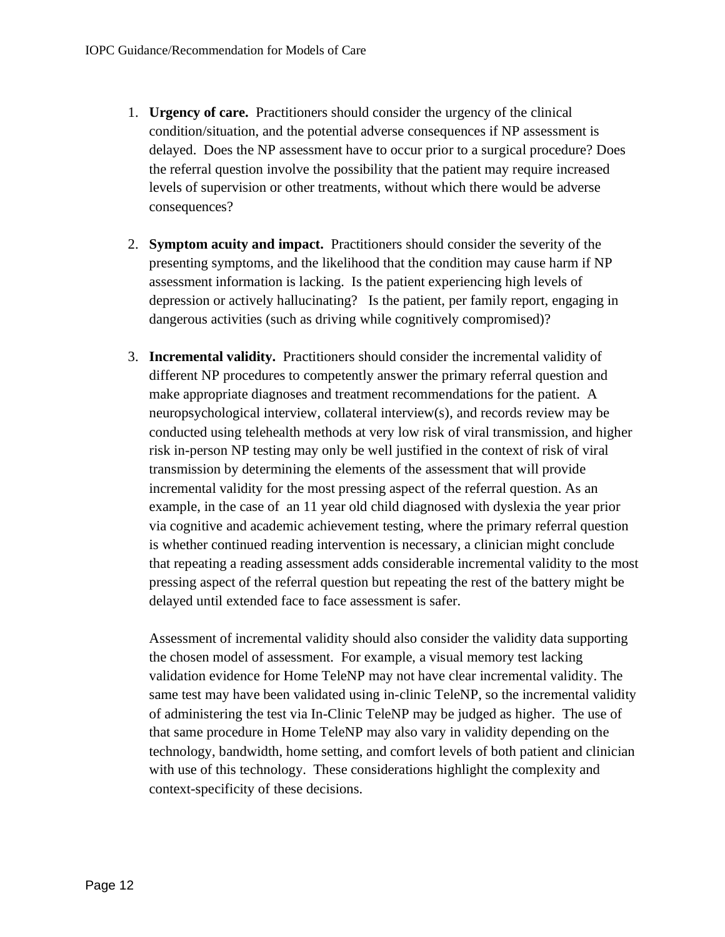- 1. **Urgency of care.** Practitioners should consider the urgency of the clinical condition/situation, and the potential adverse consequences if NP assessment is delayed. Does the NP assessment have to occur prior to a surgical procedure? Does the referral question involve the possibility that the patient may require increased levels of supervision or other treatments, without which there would be adverse consequences?
- 2. **Symptom acuity and impact.** Practitioners should consider the severity of the presenting symptoms, and the likelihood that the condition may cause harm if NP assessment information is lacking. Is the patient experiencing high levels of depression or actively hallucinating? Is the patient, per family report, engaging in dangerous activities (such as driving while cognitively compromised)?
- 3. **Incremental validity.** Practitioners should consider the incremental validity of different NP procedures to competently answer the primary referral question and make appropriate diagnoses and treatment recommendations for the patient. A neuropsychological interview, collateral interview(s), and records review may be conducted using telehealth methods at very low risk of viral transmission, and higher risk in-person NP testing may only be well justified in the context of risk of viral transmission by determining the elements of the assessment that will provide incremental validity for the most pressing aspect of the referral question. As an example, in the case of an 11 year old child diagnosed with dyslexia the year prior via cognitive and academic achievement testing, where the primary referral question is whether continued reading intervention is necessary, a clinician might conclude that repeating a reading assessment adds considerable incremental validity to the most pressing aspect of the referral question but repeating the rest of the battery might be delayed until extended face to face assessment is safer.

Assessment of incremental validity should also consider the validity data supporting the chosen model of assessment. For example, a visual memory test lacking validation evidence for Home TeleNP may not have clear incremental validity. The same test may have been validated using in-clinic TeleNP, so the incremental validity of administering the test via In-Clinic TeleNP may be judged as higher. The use of that same procedure in Home TeleNP may also vary in validity depending on the technology, bandwidth, home setting, and comfort levels of both patient and clinician with use of this technology. These considerations highlight the complexity and context-specificity of these decisions.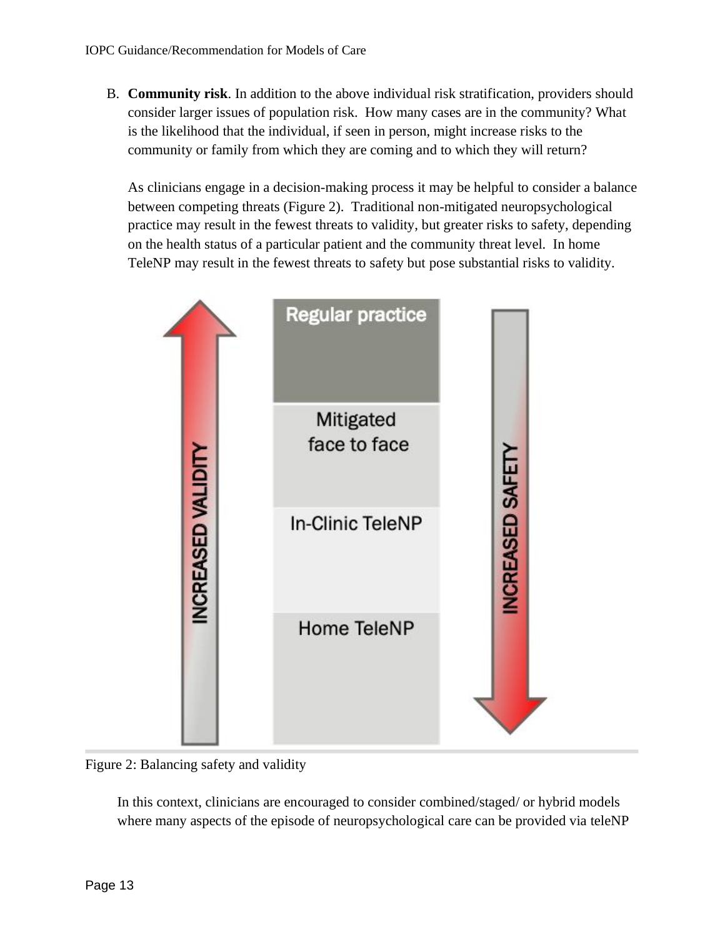B. **Community risk**. In addition to the above individual risk stratification, providers should consider larger issues of population risk. How many cases are in the community? What is the likelihood that the individual, if seen in person, might increase risks to the community or family from which they are coming and to which they will return?

As clinicians engage in a decision-making process it may be helpful to consider a balance between competing threats (Figure 2). Traditional non-mitigated neuropsychological practice may result in the fewest threats to validity, but greater risks to safety, depending on the health status of a particular patient and the community threat level. In home TeleNP may result in the fewest threats to safety but pose substantial risks to validity.



Figure 2: Balancing safety and validity

In this context, clinicians are encouraged to consider combined/staged/ or hybrid models where many aspects of the episode of neuropsychological care can be provided via teleNP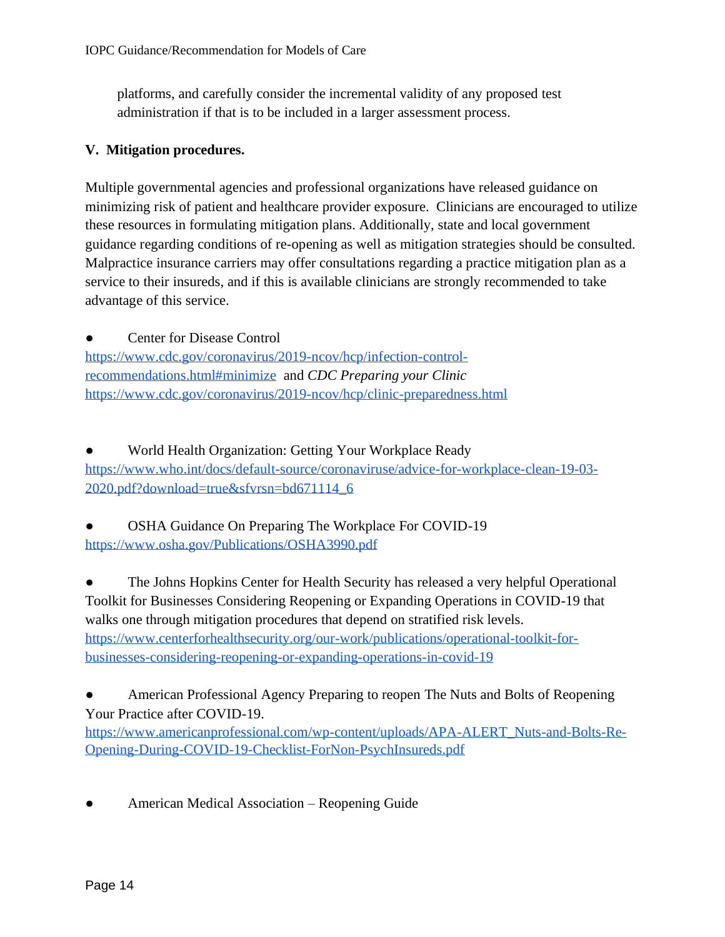platforms, and carefully consider the incremental validity of any proposed test administration if that is to be included in a larger assessment process.

### **V. Mitigation procedures.**

Multiple governmental agencies and professional organizations have released guidance on minimizing risk of patient and healthcare provider exposure. Clinicians are encouraged to utilize these resources in formulating mitigation plans. Additionally, state and local government guidance regarding conditions of re-opening as well as mitigation strategies should be consulted. Malpractice insurance carriers may offer consultations regarding a practice mitigation plan as a service to their insureds, and if this is available clinicians are strongly recommended to take advantage of this service.

**Center for Disease Control** [https://www.cdc.gov/coronavirus/2019-ncov/hcp/infection-control](https://www.cdc.gov/coronavirus/2019-ncov/hcp/infection-control-recommendations.html#minimize)[recommendations.html#minimize](https://www.cdc.gov/coronavirus/2019-ncov/hcp/infection-control-recommendations.html#minimize) and *CDC Preparing your Clinic*  <https://www.cdc.gov/coronavirus/2019-ncov/hcp/clinic-preparedness.html>

[World Health Organization: Getting Your Workplace Ready](https://www.who.int/docs/default-source/coronaviruse/advice-for-workplace-clean-19-03-2020.pdf?download=true&sfvrsn=bd671114_6) [https://www.who.int/docs/default-source/coronaviruse/advice-for-workplace-clean-19-03-](https://www.who.int/docs/default-source/coronaviruse/advice-for-workplace-clean-19-03-2020.pdf?download=true&sfvrsn=bd671114_6) [2020.pdf?download=true&sfvrsn=bd671114\\_6](https://www.who.int/docs/default-source/coronaviruse/advice-for-workplace-clean-19-03-2020.pdf?download=true&sfvrsn=bd671114_6)

[OSHA Guidance On Preparing The Workplace For COVID-19](https://www.osha.gov/Publications/OSHA3990.pdf) <https://www.osha.gov/Publications/OSHA3990.pdf>

The Johns Hopkins Center for Health Security has released a very helpful Operational Toolkit for Businesses Considering Reopening or Expanding Operations in COVID-19 that walks one through mitigation procedures that depend on stratified risk levels. [https://www.centerforhealthsecurity.org/our-work/publications/operational-toolkit-for](https://www.centerforhealthsecurity.org/our-work/publications/operational-toolkit-for-businesses-considering-reopening-or-expanding-operations-in-covid-19)[businesses-considering-reopening-or-expanding-operations-in-covid-19](https://www.centerforhealthsecurity.org/our-work/publications/operational-toolkit-for-businesses-considering-reopening-or-expanding-operations-in-covid-19)

American Professional Agency Preparing to reopen The Nuts and Bolts of Reopening Your Practice after COVID-19. [https://www.americanprofessional.com/wp-content/uploads/APA-ALERT\\_Nuts-and-Bolts-Re-](https://www.americanprofessional.com/wp-content/uploads/APA-ALERT_Nuts-and-Bolts-Re-Opening-During-COVID-19-Checklist-ForNon-PsychInsureds.pdf)[Opening-During-COVID-19-Checklist-ForNon-PsychInsureds.pdf](https://www.americanprofessional.com/wp-content/uploads/APA-ALERT_Nuts-and-Bolts-Re-Opening-During-COVID-19-Checklist-ForNon-PsychInsureds.pdf)

American Medical Association – Reopening Guide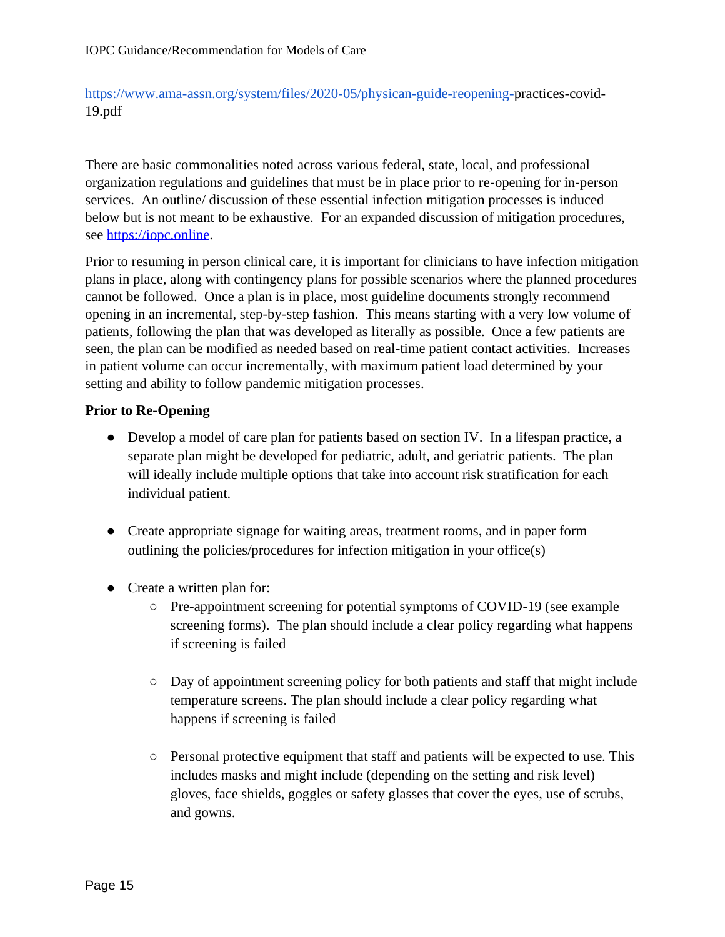[https://www.ama-assn.org/system/files/2020-05/physican-guide-reopening-p](https://www.ama-assn.org/system/files/2020-05/physican-guide-reopening-)ractices-covid-19.pdf

There are basic commonalities noted across various federal, state, local, and professional organization regulations and guidelines that must be in place prior to re-opening for in-person services. An outline/ discussion of these essential infection mitigation processes is induced below but is not meant to be exhaustive. For an expanded discussion of mitigation procedures, see [https://iopc.online.](https://iopc.online/)

Prior to resuming in person clinical care, it is important for clinicians to have infection mitigation plans in place, along with contingency plans for possible scenarios where the planned procedures cannot be followed. Once a plan is in place, most guideline documents strongly recommend opening in an incremental, step-by-step fashion. This means starting with a very low volume of patients, following the plan that was developed as literally as possible. Once a few patients are seen, the plan can be modified as needed based on real-time patient contact activities. Increases in patient volume can occur incrementally, with maximum patient load determined by your setting and ability to follow pandemic mitigation processes.

### **Prior to Re-Opening**

- Develop a model of care plan for patients based on section IV. In a lifespan practice, a separate plan might be developed for pediatric, adult, and geriatric patients. The plan will ideally include multiple options that take into account risk stratification for each individual patient.
- Create appropriate signage for waiting areas, treatment rooms, and in paper form outlining the policies/procedures for infection mitigation in your office(s)
- Create a written plan for:
	- Pre-appointment screening for potential symptoms of COVID-19 (see example screening forms). The plan should include a clear policy regarding what happens if screening is failed
	- Day of appointment screening policy for both patients and staff that might include temperature screens. The plan should include a clear policy regarding what happens if screening is failed
	- Personal protective equipment that staff and patients will be expected to use. This includes masks and might include (depending on the setting and risk level) gloves, face shields, goggles or safety glasses that cover the eyes, use of scrubs, and gowns.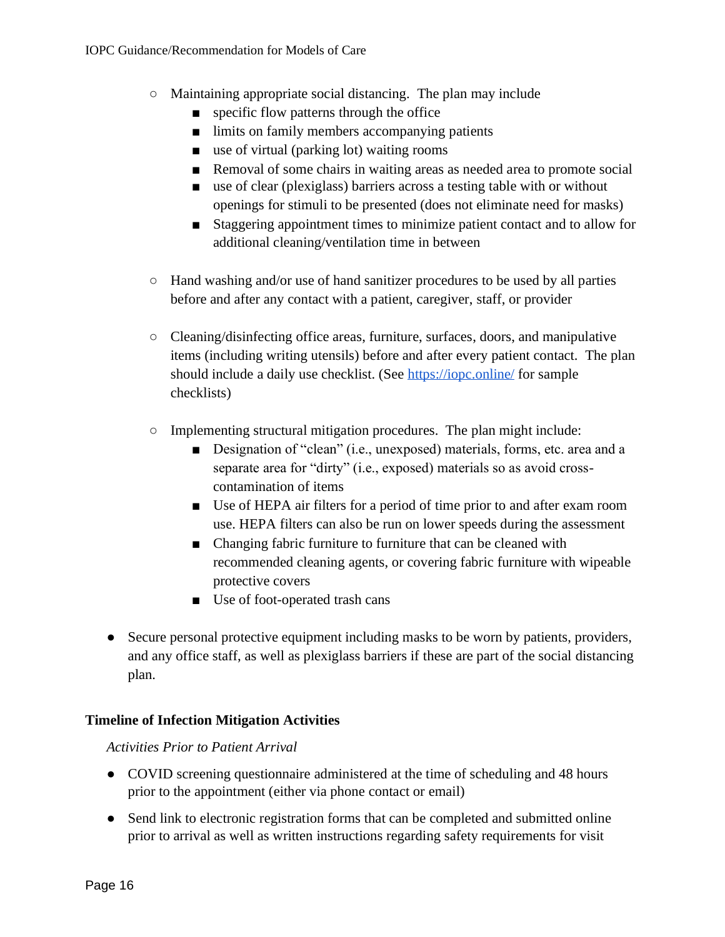- Maintaining appropriate social distancing. The plan may include
	- specific flow patterns through the office
	- limits on family members accompanying patients
	- use of virtual (parking lot) waiting rooms
	- Removal of some chairs in waiting areas as needed area to promote social
	- use of clear (plexiglass) barriers across a testing table with or without openings for stimuli to be presented (does not eliminate need for masks)
	- Staggering appointment times to minimize patient contact and to allow for additional cleaning/ventilation time in between
- Hand washing and/or use of hand sanitizer procedures to be used by all parties before and after any contact with a patient, caregiver, staff, or provider
- Cleaning/disinfecting office areas, furniture, surfaces, doors, and manipulative items (including writing utensils) before and after every patient contact. The plan should include a daily use checklist. (See<https://iopc.online/> for sample checklists)
- Implementing structural mitigation procedures. The plan might include:
	- Designation of "clean" (i.e., unexposed) materials, forms, etc. area and a separate area for "dirty" (i.e., exposed) materials so as avoid crosscontamination of items
	- Use of HEPA air filters for a period of time prior to and after exam room use. HEPA filters can also be run on lower speeds during the assessment
	- Changing fabric furniture to furniture that can be cleaned with recommended cleaning agents, or covering fabric furniture with wipeable protective covers
	- Use of foot-operated trash cans
- Secure personal protective equipment including masks to be worn by patients, providers, and any office staff, as well as plexiglass barriers if these are part of the social distancing plan.

## **Timeline of Infection Mitigation Activities**

*Activities Prior to Patient Arrival*

- COVID screening questionnaire administered at the time of scheduling and 48 hours prior to the appointment (either via phone contact or email)
- Send link to electronic registration forms that can be completed and submitted online prior to arrival as well as written instructions regarding safety requirements for visit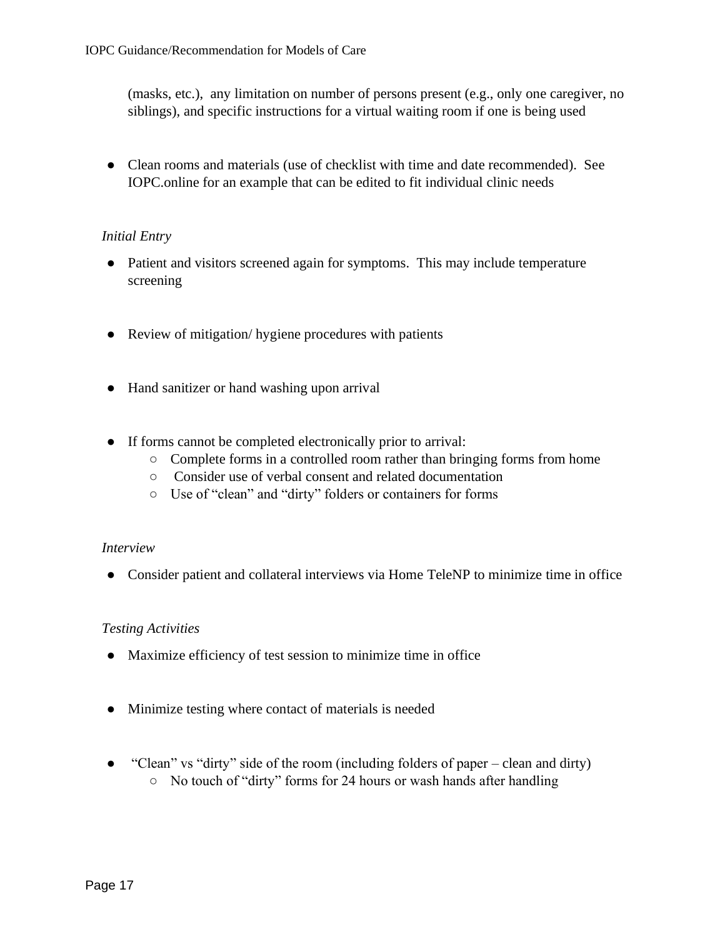(masks, etc.), any limitation on number of persons present (e.g., only one caregiver, no siblings), and specific instructions for a virtual waiting room if one is being used

• Clean rooms and materials (use of checklist with time and date recommended). See IOPC.online for an example that can be edited to fit individual clinic needs

### *Initial Entry*

- Patient and visitors screened again for symptoms. This may include temperature screening
- Review of mitigation/ hygiene procedures with patients
- Hand sanitizer or hand washing upon arrival
- If forms cannot be completed electronically prior to arrival:
	- Complete forms in a controlled room rather than bringing forms from home
	- Consider use of verbal consent and related documentation
	- Use of "clean" and "dirty" folders or containers for forms

## *Interview*

● Consider patient and collateral interviews via Home TeleNP to minimize time in office

## *Testing Activities*

- Maximize efficiency of test session to minimize time in office
- Minimize testing where contact of materials is needed
- "Clean" vs "dirty" side of the room (including folders of paper clean and dirty) ○ No touch of "dirty" forms for 24 hours or wash hands after handling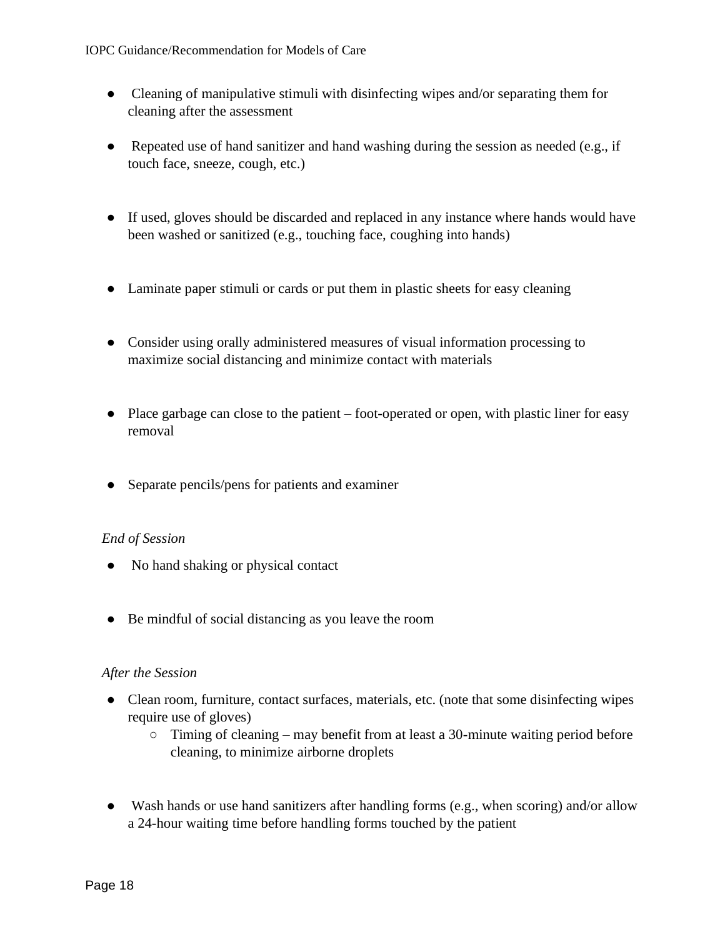- Cleaning of manipulative stimuli with disinfecting wipes and/or separating them for cleaning after the assessment
- Repeated use of hand sanitizer and hand washing during the session as needed (e.g., if touch face, sneeze, cough, etc.)
- If used, gloves should be discarded and replaced in any instance where hands would have been washed or sanitized (e.g., touching face, coughing into hands)
- Laminate paper stimuli or cards or put them in plastic sheets for easy cleaning
- Consider using orally administered measures of visual information processing to maximize social distancing and minimize contact with materials
- Place garbage can close to the patient foot-operated or open, with plastic liner for easy removal
- Separate pencils/pens for patients and examiner

## *End of Session*

- No hand shaking or physical contact
- Be mindful of social distancing as you leave the room

### *After the Session*

- Clean room, furniture, contact surfaces, materials, etc. (note that some disinfecting wipes require use of gloves)
	- $\circ$  Timing of cleaning may benefit from at least a 30-minute waiting period before cleaning, to minimize airborne droplets
- Wash hands or use hand sanitizers after handling forms (e.g., when scoring) and/or allow a 24-hour waiting time before handling forms touched by the patient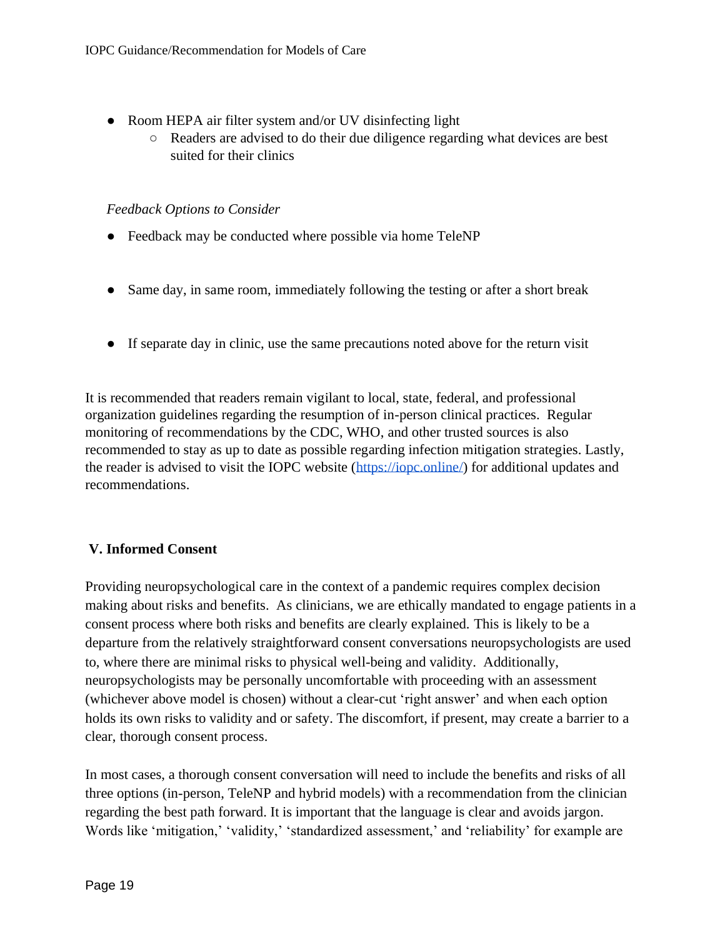- Room HEPA air filter system and/or UV disinfecting light
	- Readers are advised to do their due diligence regarding what devices are best suited for their clinics

### *Feedback Options to Consider*

- Feedback may be conducted where possible via home TeleNP
- Same day, in same room, immediately following the testing or after a short break
- If separate day in clinic, use the same precautions noted above for the return visit

It is recommended that readers remain vigilant to local, state, federal, and professional organization guidelines regarding the resumption of in-person clinical practices. Regular monitoring of recommendations by the CDC, WHO, and other trusted sources is also recommended to stay as up to date as possible regarding infection mitigation strategies. Lastly, the reader is advised to visit the IOPC website [\(https://iopc.online/\)](https://iopc.online/) for additional updates and recommendations.

## **V. Informed Consent**

Providing neuropsychological care in the context of a pandemic requires complex decision making about risks and benefits. As clinicians, we are ethically mandated to engage patients in a consent process where both risks and benefits are clearly explained. This is likely to be a departure from the relatively straightforward consent conversations neuropsychologists are used to, where there are minimal risks to physical well-being and validity. Additionally, neuropsychologists may be personally uncomfortable with proceeding with an assessment (whichever above model is chosen) without a clear-cut 'right answer' and when each option holds its own risks to validity and or safety. The discomfort, if present, may create a barrier to a clear, thorough consent process.

In most cases, a thorough consent conversation will need to include the benefits and risks of all three options (in-person, TeleNP and hybrid models) with a recommendation from the clinician regarding the best path forward. It is important that the language is clear and avoids jargon. Words like 'mitigation,' 'validity,' 'standardized assessment,' and 'reliability' for example are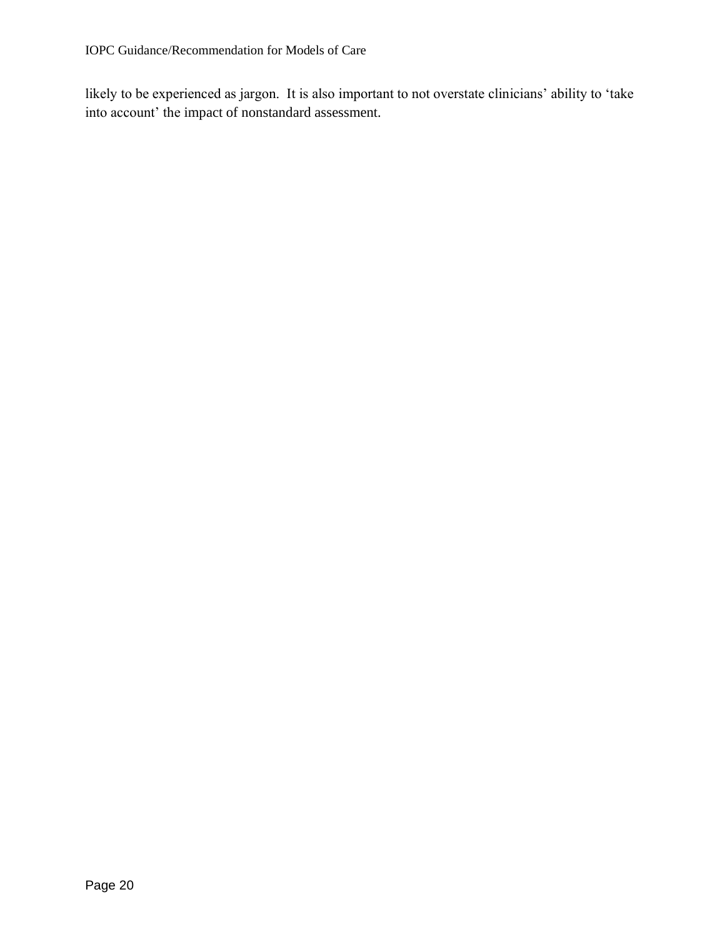likely to be experienced as jargon. It is also important to not overstate clinicians' ability to 'take into account' the impact of nonstandard assessment.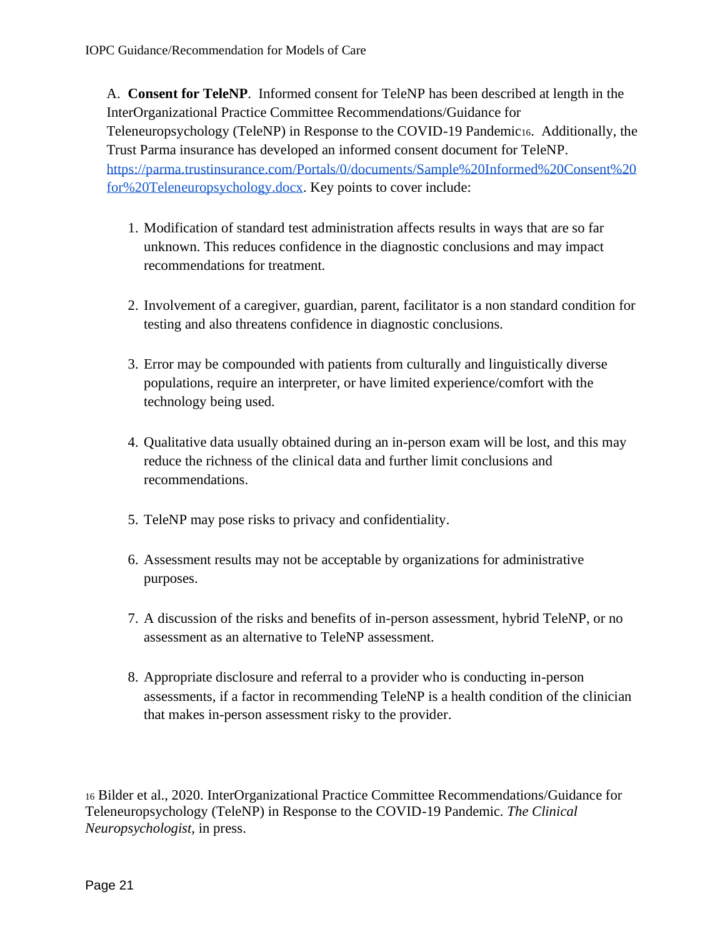A. **Consent for TeleNP**. Informed consent for TeleNP has been described at length in the InterOrganizational Practice Committee Recommendations/Guidance for Teleneuropsychology (TeleNP) in Response to the COVID-19 Pandemic16. Additionally, the Trust Parma insurance has developed an informed consent document for TeleNP. [https://parma.trustinsurance.com/Portals/0/documents/Sample%20Informed%20Consent%20](https://parma.trustinsurance.com/Portals/0/documents/Sample%20Informed%20Consent%20for%20Teleneuropsychology.docx) [for%20Teleneuropsychology.docx.](https://parma.trustinsurance.com/Portals/0/documents/Sample%20Informed%20Consent%20for%20Teleneuropsychology.docx) Key points to cover include:

- 1. Modification of standard test administration affects results in ways that are so far unknown. This reduces confidence in the diagnostic conclusions and may impact recommendations for treatment.
- 2. Involvement of a caregiver, guardian, parent, facilitator is a non standard condition for testing and also threatens confidence in diagnostic conclusions.
- 3. Error may be compounded with patients from culturally and linguistically diverse populations, require an interpreter, or have limited experience/comfort with the technology being used.
- 4. Qualitative data usually obtained during an in-person exam will be lost, and this may reduce the richness of the clinical data and further limit conclusions and recommendations.
- 5. TeleNP may pose risks to privacy and confidentiality.
- 6. Assessment results may not be acceptable by organizations for administrative purposes.
- 7. A discussion of the risks and benefits of in-person assessment, hybrid TeleNP, or no assessment as an alternative to TeleNP assessment.
- 8. Appropriate disclosure and referral to a provider who is conducting in-person assessments, if a factor in recommending TeleNP is a health condition of the clinician that makes in-person assessment risky to the provider.

<sup>16</sup> Bilder et al., 2020. InterOrganizational Practice Committee Recommendations/Guidance for Teleneuropsychology (TeleNP) in Response to the COVID-19 Pandemic. *The Clinical Neuropsychologist,* in press.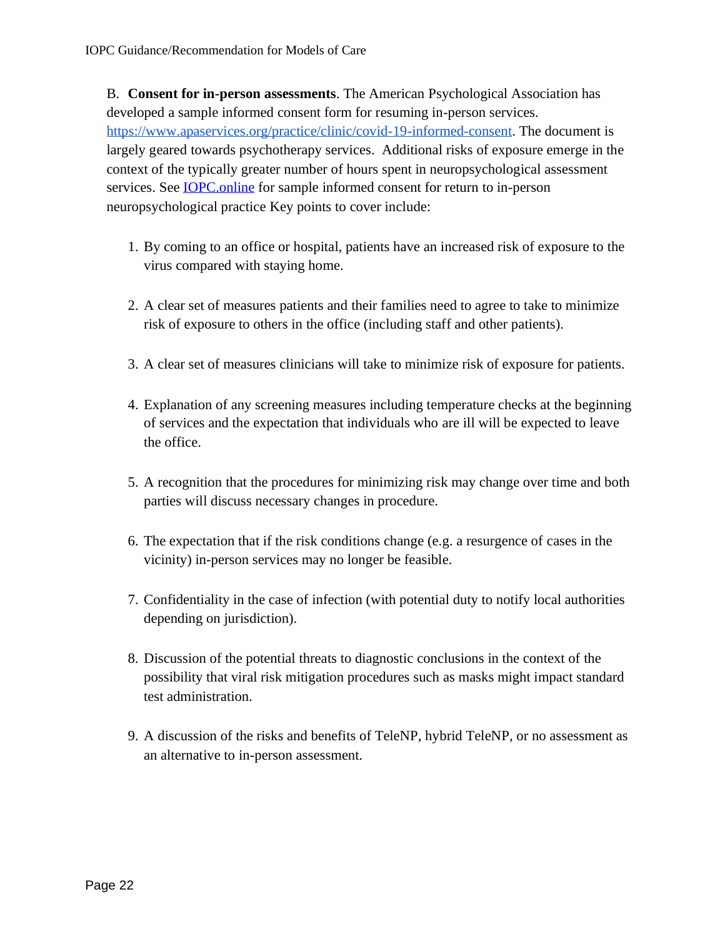B. **Consent for in-person assessments**. The American Psychological Association has developed a sample informed consent form for resuming in-person services. [https://www.apaservices.org/practice/clinic/covid-19-informed-consent.](https://www.apaservices.org/practice/clinic/covid-19-informed-consent) The document is largely geared towards psychotherapy services. Additional risks of exposure emerge in the context of the typically greater number of hours spent in neuropsychological assessment services. See **IOPC** online for sample informed consent for return to in-person neuropsychological practice Key points to cover include:

- 1. By coming to an office or hospital, patients have an increased risk of exposure to the virus compared with staying home.
- 2. A clear set of measures patients and their families need to agree to take to minimize risk of exposure to others in the office (including staff and other patients).
- 3. A clear set of measures clinicians will take to minimize risk of exposure for patients.
- 4. Explanation of any screening measures including temperature checks at the beginning of services and the expectation that individuals who are ill will be expected to leave the office.
- 5. A recognition that the procedures for minimizing risk may change over time and both parties will discuss necessary changes in procedure.
- 6. The expectation that if the risk conditions change (e.g. a resurgence of cases in the vicinity) in-person services may no longer be feasible.
- 7. Confidentiality in the case of infection (with potential duty to notify local authorities depending on jurisdiction).
- 8. Discussion of the potential threats to diagnostic conclusions in the context of the possibility that viral risk mitigation procedures such as masks might impact standard test administration.
- 9. A discussion of the risks and benefits of TeleNP, hybrid TeleNP, or no assessment as an alternative to in-person assessment.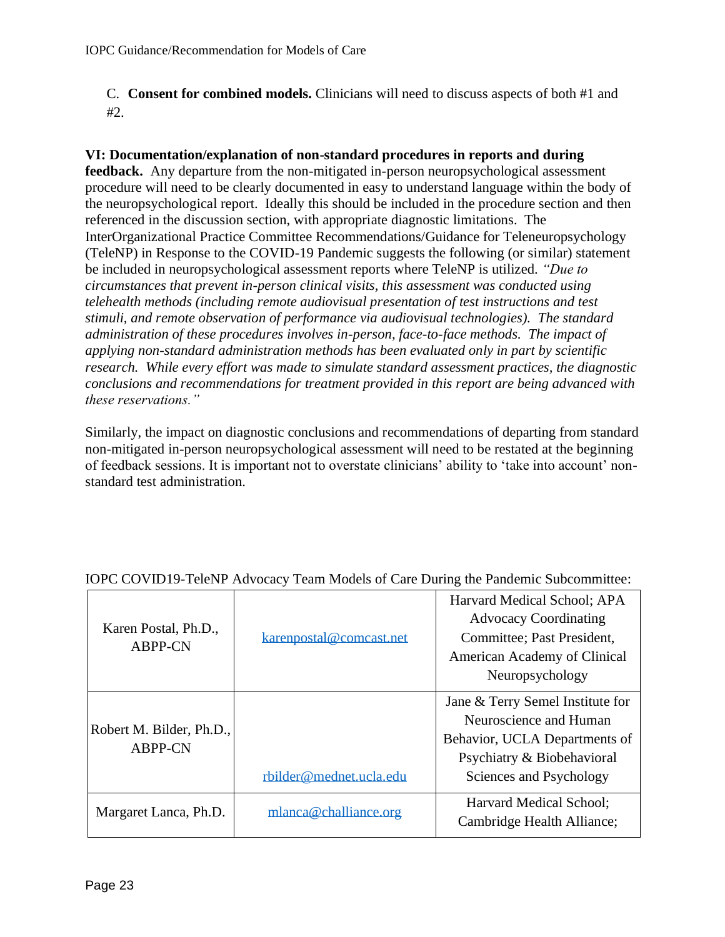C. **Consent for combined models.** Clinicians will need to discuss aspects of both #1 and #2.

## **VI: Documentation/explanation of non-standard procedures in reports and during**

**feedback.** Any departure from the non-mitigated in-person neuropsychological assessment procedure will need to be clearly documented in easy to understand language within the body of the neuropsychological report. Ideally this should be included in the procedure section and then referenced in the discussion section, with appropriate diagnostic limitations. The InterOrganizational Practice Committee Recommendations/Guidance for Teleneuropsychology (TeleNP) in Response to the COVID-19 Pandemic suggests the following (or similar) statement be included in neuropsychological assessment reports where TeleNP is utilized. *"Due to circumstances that prevent in-person clinical visits, this assessment was conducted using telehealth methods (including remote audiovisual presentation of test instructions and test stimuli, and remote observation of performance via audiovisual technologies). The standard administration of these procedures involves in-person, face-to-face methods. The impact of applying non-standard administration methods has been evaluated only in part by scientific research. While every effort was made to simulate standard assessment practices, the diagnostic conclusions and recommendations for treatment provided in this report are being advanced with these reservations."* 

Similarly, the impact on diagnostic conclusions and recommendations of departing from standard non-mitigated in-person neuropsychological assessment will need to be restated at the beginning of feedback sessions. It is important not to overstate clinicians' ability to 'take into account' nonstandard test administration.

| Karen Postal, Ph.D.,<br>ABPP-CN            | karenpostal@comcast.net | Harvard Medical School; APA<br><b>Advocacy Coordinating</b><br>Committee; Past President,<br>American Academy of Clinical<br>Neuropsychology         |
|--------------------------------------------|-------------------------|------------------------------------------------------------------------------------------------------------------------------------------------------|
| Robert M. Bilder, Ph.D.,<br><b>ABPP-CN</b> | rbilder@mednet.ucla.edu | Jane & Terry Semel Institute for<br>Neuroscience and Human<br>Behavior, UCLA Departments of<br>Psychiatry & Biobehavioral<br>Sciences and Psychology |
| Margaret Lanca, Ph.D.                      | mlanca@challiance.org   | Harvard Medical School;<br>Cambridge Health Alliance;                                                                                                |

## IOPC COVID19-TeleNP Advocacy Team Models of Care During the Pandemic Subcommittee: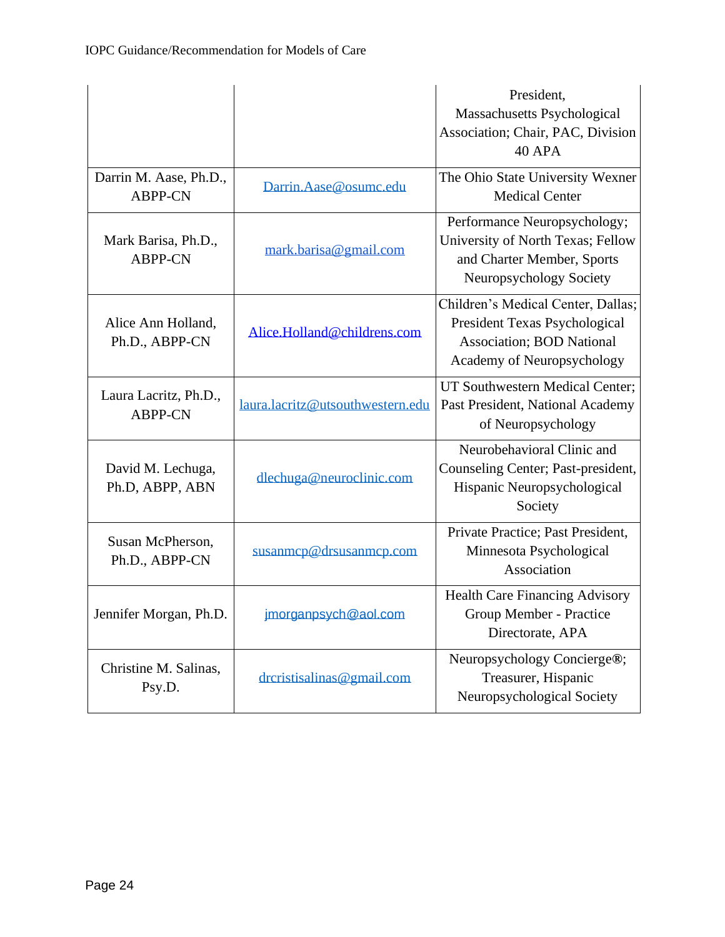|                                          |                                  | President,<br>Massachusetts Psychological<br>Association; Chair, PAC, Division<br><b>40 APA</b>                                               |
|------------------------------------------|----------------------------------|-----------------------------------------------------------------------------------------------------------------------------------------------|
| Darrin M. Aase, Ph.D.,<br><b>ABPP-CN</b> | Darrin.Aase@osumc.edu            | The Ohio State University Wexner<br><b>Medical Center</b>                                                                                     |
| Mark Barisa, Ph.D.,<br><b>ABPP-CN</b>    | mark.barisa@gmail.com            | Performance Neuropsychology;<br>University of North Texas; Fellow<br>and Charter Member, Sports<br>Neuropsychology Society                    |
| Alice Ann Holland,<br>Ph.D., ABPP-CN     | Alice.Holland@childrens.com      | Children's Medical Center, Dallas;<br>President Texas Psychological<br><b>Association</b> ; <b>BOD</b> National<br>Academy of Neuropsychology |
| Laura Lacritz, Ph.D.,<br><b>ABPP-CN</b>  | laura.lacritz@utsouthwestern.edu | UT Southwestern Medical Center;<br>Past President, National Academy<br>of Neuropsychology                                                     |
| David M. Lechuga,<br>Ph.D, ABPP, ABN     | dlechuga@neuroclinic.com         | Neurobehavioral Clinic and<br>Counseling Center; Past-president,<br>Hispanic Neuropsychological<br>Society                                    |
| Susan McPherson,<br>Ph.D., ABPP-CN       | susanmcp@drsusanmcp.com          | Private Practice; Past President,<br>Minnesota Psychological<br>Association                                                                   |
| Jennifer Morgan, Ph.D.                   | jmorganpsych@aol.com             | Health Care Financing Advisory<br>Group Member - Practice<br>Directorate, APA                                                                 |
| Christine M. Salinas,<br>Psy.D.          | drcristisalinas@gmail.com        | Neuropsychology Concierge®;<br>Treasurer, Hispanic<br>Neuropsychological Society                                                              |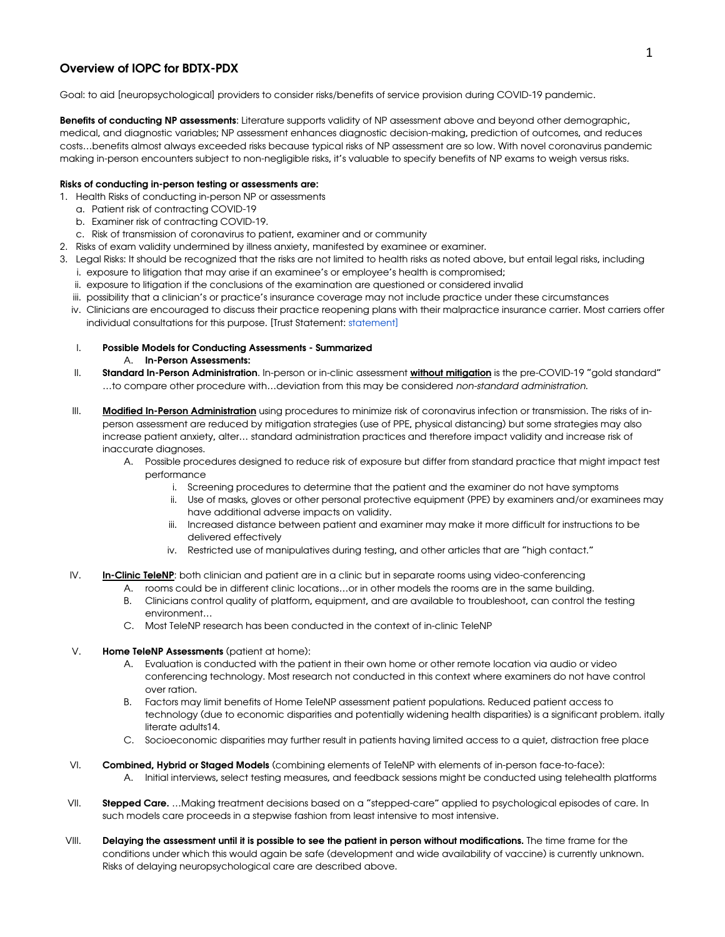### Overview of IOPC for BDTX-PDX

Goal: to aid [neuropsychological] providers to consider risks/benefits of service provision during COVID-19 pandemic.

Benefits of conducting NP assessments: Literature supports validity of NP assessment above and beyond other demographic, medical, and diagnostic variables; NP assessment enhances diagnostic decision-making, prediction of outcomes, and reduces costs…benefits almost always exceeded risks because typical risks of NP assessment are so low. With novel coronavirus pandemic making in-person encounters subject to non-negligible risks, it's valuable to specify benefits of NP exams to weigh versus risks.

#### Risks of conducting in-person testing or assessments are:

- 1. Health Risks of conducting in-person NP or assessments
	- a. Patient risk of contracting COVID-19
	- b. Examiner risk of contracting COVID-19.
	- c. Risk of transmission of coronavirus to patient, examiner and or community
- 2. Risks of exam validity undermined by illness anxiety, manifested by examinee or examiner.
- 3. Legal Risks: It should be recognized that the risks are not limited to health risks as noted above, but entail legal risks, including
	- i. exposure to litigation that may arise if an examinee's or employee's health is compromised;
	- ii. exposure to litigation if the conclusions of the examination are questioned or considered invalid
	- iii. possibility that a clinician's or practice's insurance coverage may not include practice under these circumstances
	- iv. Clinicians are encouraged to discuss their practice reopening plans with their malpractice insurance carrier. Most carriers offer individual consultations for this purpose. [Trust Statement: statement]
	- I. Possible Models for Conducting Assessments Summarized
		- A. In-Person Assessments:
	- II. Standard In-Person Administration. In-person or in-clinic assessment without mitigation is the pre-COVID-19 "gold standard" …to compare other procedure with…deviation from this may be considered *non-standard administration*.
	- III. Modified In-Person Administration using procedures to minimize risk of coronavirus infection or transmission. The risks of inperson assessment are reduced by mitigation strategies (use of PPE, physical distancing) but some strategies may also increase patient anxiety, alter… standard administration practices and therefore impact validity and increase risk of inaccurate diagnoses.
		- A. Possible procedures designed to reduce risk of exposure but differ from standard practice that might impact test performance
			- i. Screening procedures to determine that the patient and the examiner do not have symptoms
			- ii. Use of masks, gloves or other personal protective equipment (PPE) by examiners and/or examinees may have additional adverse impacts on validity.
			- iii. Increased distance between patient and examiner may make it more difficult for instructions to be delivered effectively
			- iv. Restricted use of manipulatives during testing, and other articles that are "high contact."
	- IV. **In-Clinic TeleNP:** both clinician and patient are in a clinic but in separate rooms using video-conferencing
		- A. rooms could be in different clinic locations…or in other models the rooms are in the same building.
		- B. Clinicians control quality of platform, equipment, and are available to troubleshoot, can control the testing environment…
		- C. Most TeleNP research has been conducted in the context of in-clinic TeleNP
	- V. Home TeleNP Assessments (patient at home):
		- A. Evaluation is conducted with the patient in their own home or other remote location via audio or video conferencing technology. Most research not conducted in this context where examiners do not have control over ration.
		- B. Factors may limit benefits of Home TeleNP assessment patient populations. Reduced patient access to technology (due to economic disparities and potentially widening health disparities) is a significant problem. itally literate adults14.
		- C. Socioeconomic disparities may further result in patients having limited access to a quiet, distraction free place
- VI. Combined, Hybrid or Staged Models (combining elements of TeleNP with elements of in-person face-to-face): A. Initial interviews, select testing measures, and feedback sessions might be conducted using telehealth platforms
- VII. Stepped Care. ... Making treatment decisions based on a "stepped-care" applied to psychological episodes of care. In such models care proceeds in a stepwise fashion from least intensive to most intensive.
- VIII. Delaying the assessment until it is possible to see the patient in person without modifications. The time frame for the conditions under which this would again be safe (development and wide availability of vaccine) is currently unknown. Risks of delaying neuropsychological care are described above.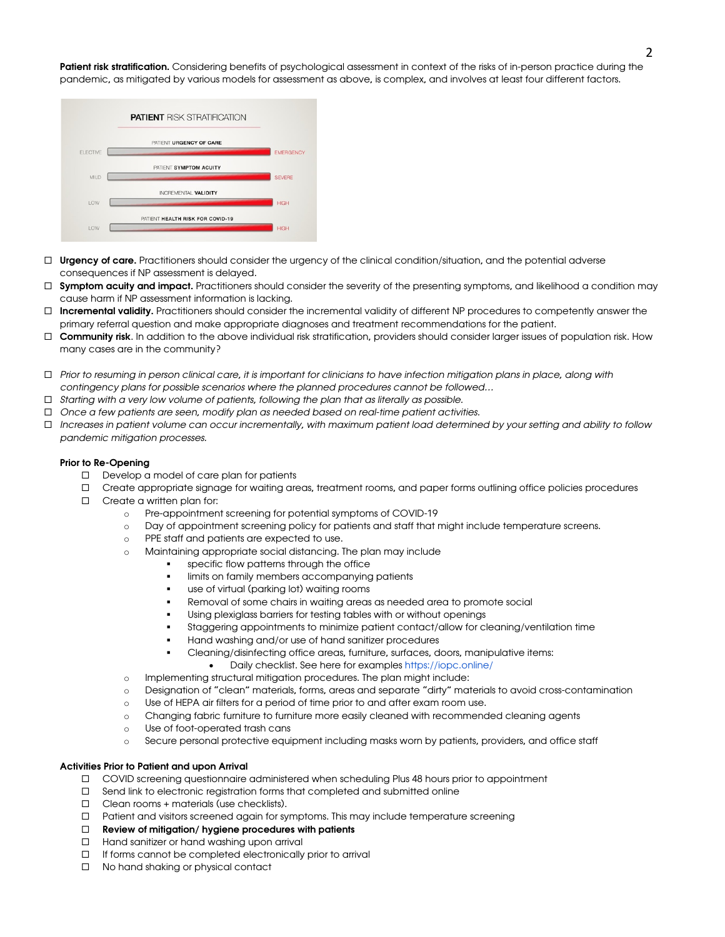Patient risk stratification. Considering benefits of psychological assessment in context of the risks of in-person practice during the pandemic, as mitigated by various models for assessment as above, is complex, and involves at least four different factors.



- $\Box$  Urgency of care. Practitioners should consider the urgency of the clinical condition/situation, and the potential adverse consequences if NP assessment is delayed.
- □ Symptom acuity and impact. Practitioners should consider the severity of the presenting symptoms, and likelihood a condition may cause harm if NP assessment information is lacking.
- □ Incremental validity. Practitioners should consider the incremental validity of different NP procedures to competently answer the primary referral question and make appropriate diagnoses and treatment recommendations for the patient.
- □ Community risk. In addition to the above individual risk stratification, providers should consider larger issues of population risk. How many cases are in the community?
- ¨ *Prior to resuming in person clinical care, it is important for clinicians to have infection mitigation plans in place, along with contingency plans for possible scenarios where the planned procedures cannot be followed…*
- ¨ *Starting with a very low volume of patients, following the plan that as literally as possible.*
- ¨ *Once a few patients are seen, modify plan as needed based on real-time patient activities.*
- ¨ *Increases in patient volume can occur incrementally, with maximum patient load determined by your setting and ability to follow pandemic mitigation processes.*

#### Prior to Re-Opening

- $\square$  Develop a model of care plan for patients
- ¨ Create appropriate signage for waiting areas, treatment rooms, and paper forms outlining office policies procedures
- $\square$  Create a written plan for:
	- o Pre-appointment screening for potential symptoms of COVID-19
	- o Day of appointment screening policy for patients and staff that might include temperature screens.
	- o PPE staff and patients are expected to use.
	- o Maintaining appropriate social distancing. The plan may include
		- **•** specific flow patterns through the office
		- limits on family members accompanying patients
		- use of virtual (parking lot) waiting rooms
		- Removal of some chairs in waiting areas as needed area to promote social
		- § Using plexiglass barriers for testing tables with or without openings
		- § Staggering appointments to minimize patient contact/allow for cleaning/ventilation time
		- § Hand washing and/or use of hand sanitizer procedures
		- § Cleaning/disinfecting office areas, furniture, surfaces, doors, manipulative items:
			- Daily checklist. See here for examples https://iopc.online/
	- o Implementing structural mitigation procedures. The plan might include:
	- o Designation of "clean" materials, forms, areas and separate "dirty" materials to avoid cross-contamination
	- o Use of HEPA air filters for a period of time prior to and after exam room use.
	- o Changing fabric furniture to furniture more easily cleaned with recommended cleaning agents
	- o Use of foot-operated trash cans
	- o Secure personal protective equipment including masks worn by patients, providers, and office staff

#### Activities Prior to Patient and upon Arrival

- ¨ COVID screening questionnaire administered when scheduling Plus 48 hours prior to appointment
- $\square$  Send link to electronic registration forms that completed and submitted online
- $\square$  Clean rooms + materials (use checklists).
- ¨ Patient and visitors screened again for symptoms. This may include temperature screening
- $\Box$  Review of mitigation/ hygiene procedures with patients
- □ Hand sanitizer or hand washing upon arrival
- $\square$  If forms cannot be completed electronically prior to arrival
- $\Box$  No hand shaking or physical contact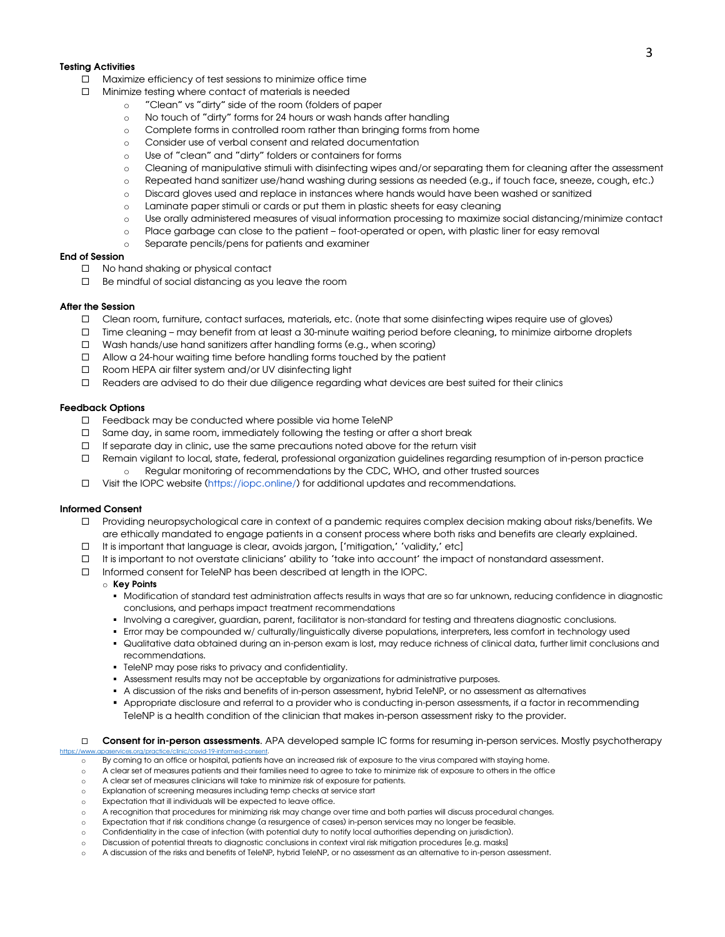#### Testing Activities

- $\square$  Maximize efficiency of test sessions to minimize office time
- $\square$  Minimize testing where contact of materials is needed
	- o "Clean" vs "dirty" side of the room (folders of paper
	- o No touch of "dirty" forms for 24 hours or wash hands after handling
	- o Complete forms in controlled room rather than bringing forms from home
	- o Consider use of verbal consent and related documentation
	- o Use of "clean" and "dirty" folders or containers for forms
	- o Cleaning of manipulative stimuli with disinfecting wipes and/or separating them for cleaning after the assessment
	- o Repeated hand sanitizer use/hand washing during sessions as needed (e.g., if touch face, sneeze, cough, etc.)
	- o Discard gloves used and replace in instances where hands would have been washed or sanitized
	- o Laminate paper stimuli or cards or put them in plastic sheets for easy cleaning
	- o Use orally administered measures of visual information processing to maximize social distancing/minimize contact
	- o Place garbage can close to the patient foot-operated or open, with plastic liner for easy removal
	- o Separate pencils/pens for patients and examiner

#### End of Session

- $\Box$  No hand shaking or physical contact
- $\square$  Be mindful of social distancing as you leave the room

#### After the Session

- ¨ Clean room, furniture, contact surfaces, materials, etc. (note that some disinfecting wipes require use of gloves)
- ¨ Time cleaning may benefit from at least a 30-minute waiting period before cleaning, to minimize airborne droplets
- $\square$  Wash hands/use hand sanitizers after handling forms (e.g., when scoring)
- $\Box$  Allow a 24-hour waiting time before handling forms touched by the patient
- □ Room HEPA air filter system and/or UV disinfecting light
- □ Readers are advised to do their due diligence regarding what devices are best suited for their clinics

#### Feedback Options

- $\square$  Feedback may be conducted where possible via home TeleNP
- $\square$  Same day, in same room, immediately following the testing or after a short break
- $\square$  If separate day in clinic, use the same precautions noted above for the return visit
- $\Box$  Remain vigilant to local, state, federal, professional organization guidelines regarding resumption of in-person practice Regular monitoring of recommendations by the CDC, WHO, and other trusted sources
- $\Box$  Visit the IOPC website (https://iopc.online/) for additional updates and recommendations.

#### Informed Consent

- ¨ Providing neuropsychological care in context of a pandemic requires complex decision making about risks/benefits. We are ethically mandated to engage patients in a consent process where both risks and benefits are clearly explained.
- $\Box$  It is important that language is clear, avoids jargon, ['mitigation,' 'validity,' etc]
- $\Box$  It is important to not overstate clinicians' ability to 'take into account' the impact of nonstandard assessment.
- $\square$  Informed consent for TeleNP has been described at length in the IOPC.

#### o Key Points

- § Modification of standard test administration affects results in ways that are so far unknown, reducing confidence in diagnostic conclusions, and perhaps impact treatment recommendations
- § Involving a caregiver, guardian, parent, facilitator is non-standard for testing and threatens diagnostic conclusions.
- § Error may be compounded w/ culturally/linguistically diverse populations, interpreters, less comfort in technology used
- § Qualitative data obtained during an in-person exam is lost, may reduce richness of clinical data, further limit conclusions and recommendations.
- § TeleNP may pose risks to privacy and confidentiality.
- § Assessment results may not be acceptable by organizations for administrative purposes.
- § A discussion of the risks and benefits of in-person assessment, hybrid TeleNP, or no assessment as alternatives
- Appropriate disclosure and referral to a provider who is conducting in-person assessments, if a factor in recommending TeleNP is a health condition of the clinician that makes in-person assessment risky to the provider.
- □ Consent for in-person assessments. APA developed sample IC forms for resuming in-person services. Mostly psychotherapy
- o By coming to an office or hospital, patients have an increased risk of exposure to the virus compared with staying home.
- o A clear set of measures patients and their families need to agree to take to minimize risk of exposure to others in the office
- o A clear set of measures clinicians will take to minimize risk of exposure for patients.
- o Explanation of screening measures including temp checks at service start
- Expectation that ill individuals will be expected to leave office.

https://www.apaservices.org/practice/clinic/covid-19-informed-consent.

- o A recognition that procedures for minimizing risk may change over time and both parties will discuss procedural changes.
- o Expectation that if risk conditions change (a resurgence of cases) in-person services may no longer be feasible.
- o Confidentiality in the case of infection (with potential duty to notify local authorities depending on jurisdiction).
- o Discussion of potential threats to diagnostic conclusions in context viral risk mitigation procedures [e.g. masks]
- A discussion of the risks and benefits of TeleNP, hybrid TeleNP, or no assessment as an alternative to in-person assessment.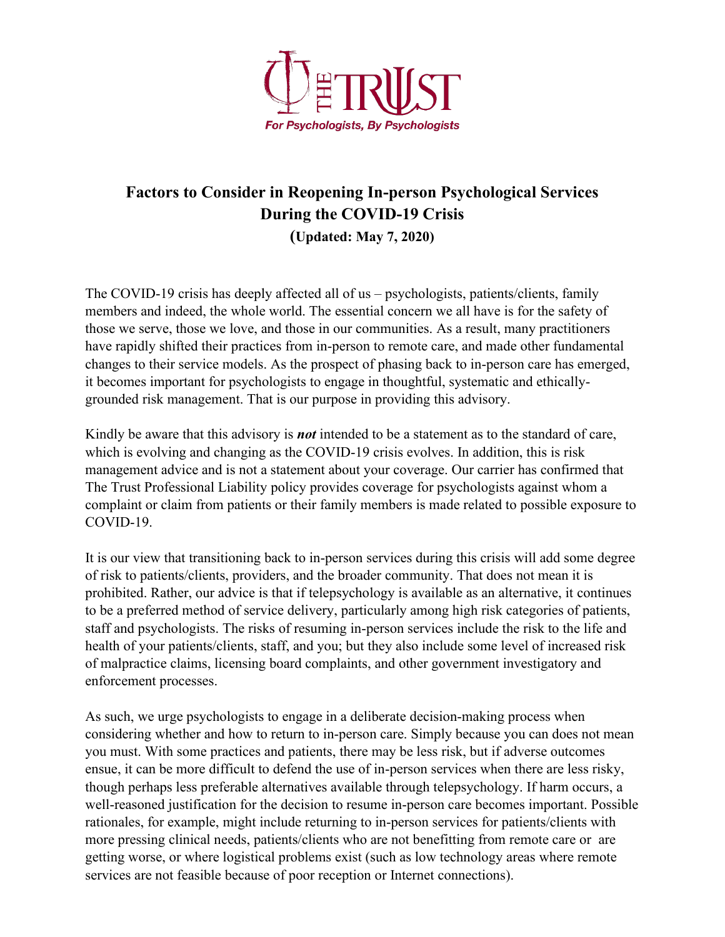

# **Factors to Consider in Reopening In-person Psychological Services During the COVID-19 Crisis (Updated: May 7, 2020)**

The COVID-19 crisis has deeply affected all of us – psychologists, patients/clients, family members and indeed, the whole world. The essential concern we all have is for the safety of those we serve, those we love, and those in our communities. As a result, many practitioners have rapidly shifted their practices from in-person to remote care, and made other fundamental changes to their service models. As the prospect of phasing back to in-person care has emerged, it becomes important for psychologists to engage in thoughtful, systematic and ethicallygrounded risk management. That is our purpose in providing this advisory.

Kindly be aware that this advisory is *not* intended to be a statement as to the standard of care, which is evolving and changing as the COVID-19 crisis evolves. In addition, this is risk management advice and is not a statement about your coverage. Our carrier has confirmed that The Trust Professional Liability policy provides coverage for psychologists against whom a complaint or claim from patients or their family members is made related to possible exposure to COVID-19.

It is our view that transitioning back to in-person services during this crisis will add some degree of risk to patients/clients, providers, and the broader community. That does not mean it is prohibited. Rather, our advice is that if telepsychology is available as an alternative, it continues to be a preferred method of service delivery, particularly among high risk categories of patients, staff and psychologists. The risks of resuming in-person services include the risk to the life and health of your patients/clients, staff, and you; but they also include some level of increased risk of malpractice claims, licensing board complaints, and other government investigatory and enforcement processes.

As such, we urge psychologists to engage in a deliberate decision-making process when considering whether and how to return to in-person care. Simply because you can does not mean you must. With some practices and patients, there may be less risk, but if adverse outcomes ensue, it can be more difficult to defend the use of in-person services when there are less risky, though perhaps less preferable alternatives available through telepsychology. If harm occurs, a well-reasoned justification for the decision to resume in-person care becomes important. Possible rationales, for example, might include returning to in-person services for patients/clients with more pressing clinical needs, patients/clients who are not benefitting from remote care or are getting worse, or where logistical problems exist (such as low technology areas where remote services are not feasible because of poor reception or Internet connections).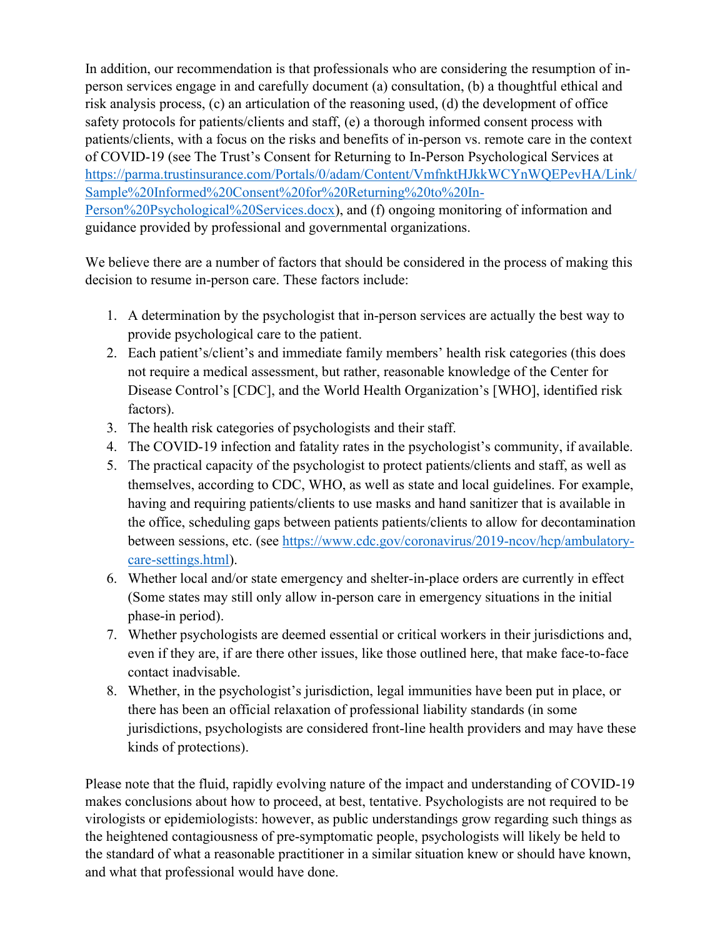In addition, our recommendation is that professionals who are considering the resumption of inperson services engage in and carefully document (a) consultation, (b) a thoughtful ethical and risk analysis process, (c) an articulation of the reasoning used, (d) the development of office safety protocols for patients/clients and staff, (e) a thorough informed consent process with patients/clients, with a focus on the risks and benefits of in-person vs. remote care in the context of COVID-19 (see The Trust's Consent for Returning to In-Person Psychological Services at https://parma.trustinsurance.com/Portals/0/adam/Content/VmfnktHJkkWCYnWQEPevHA/Link/ Sample%20Informed%20Consent%20for%20Returning%20to%20In-Person%20Psychological%20Services.docx), and (f) ongoing monitoring of information and guidance provided by professional and governmental organizations.

We believe there are a number of factors that should be considered in the process of making this decision to resume in-person care. These factors include:

- 1. A determination by the psychologist that in-person services are actually the best way to provide psychological care to the patient.
- 2. Each patient's/client's and immediate family members' health risk categories (this does not require a medical assessment, but rather, reasonable knowledge of the Center for Disease Control's [CDC], and the World Health Organization's [WHO], identified risk factors).
- 3. The health risk categories of psychologists and their staff.
- 4. The COVID-19 infection and fatality rates in the psychologist's community, if available.
- 5. The practical capacity of the psychologist to protect patients/clients and staff, as well as themselves, according to CDC, WHO, as well as state and local guidelines. For example, having and requiring patients/clients to use masks and hand sanitizer that is available in the office, scheduling gaps between patients patients/clients to allow for decontamination between sessions, etc. (see https://www.cdc.gov/coronavirus/2019-ncov/hcp/ambulatorycare-settings.html).
- 6. Whether local and/or state emergency and shelter-in-place orders are currently in effect (Some states may still only allow in-person care in emergency situations in the initial phase-in period).
- 7. Whether psychologists are deemed essential or critical workers in their jurisdictions and, even if they are, if are there other issues, like those outlined here, that make face-to-face contact inadvisable.
- 8. Whether, in the psychologist's jurisdiction, legal immunities have been put in place, or there has been an official relaxation of professional liability standards (in some jurisdictions, psychologists are considered front-line health providers and may have these kinds of protections).

Please note that the fluid, rapidly evolving nature of the impact and understanding of COVID-19 makes conclusions about how to proceed, at best, tentative. Psychologists are not required to be virologists or epidemiologists: however, as public understandings grow regarding such things as the heightened contagiousness of pre-symptomatic people, psychologists will likely be held to the standard of what a reasonable practitioner in a similar situation knew or should have known, and what that professional would have done.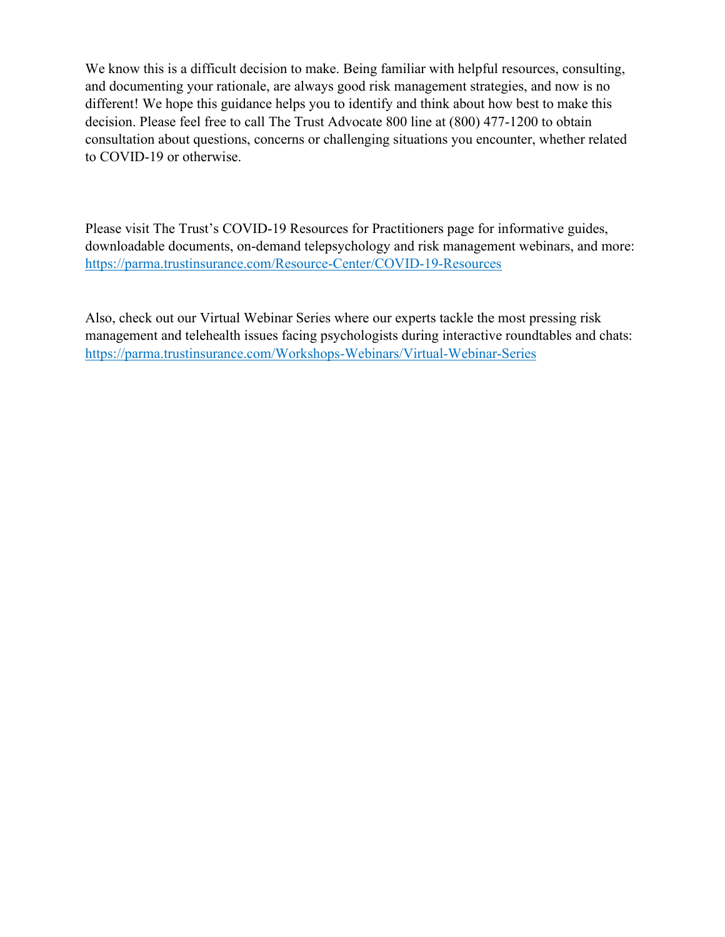We know this is a difficult decision to make. Being familiar with helpful resources, consulting, and documenting your rationale, are always good risk management strategies, and now is no different! We hope this guidance helps you to identify and think about how best to make this decision. Please feel free to call The Trust Advocate 800 line at (800) 477-1200 to obtain consultation about questions, concerns or challenging situations you encounter, whether related to COVID-19 or otherwise.

Please visit The Trust's COVID-19 Resources for Practitioners page for informative guides, downloadable documents, on-demand telepsychology and risk management webinars, and more: https://parma.trustinsurance.com/Resource-Center/COVID-19-Resources

Also, check out our Virtual Webinar Series where our experts tackle the most pressing risk management and telehealth issues facing psychologists during interactive roundtables and chats: https://parma.trustinsurance.com/Workshops-Webinars/Virtual-Webinar-Series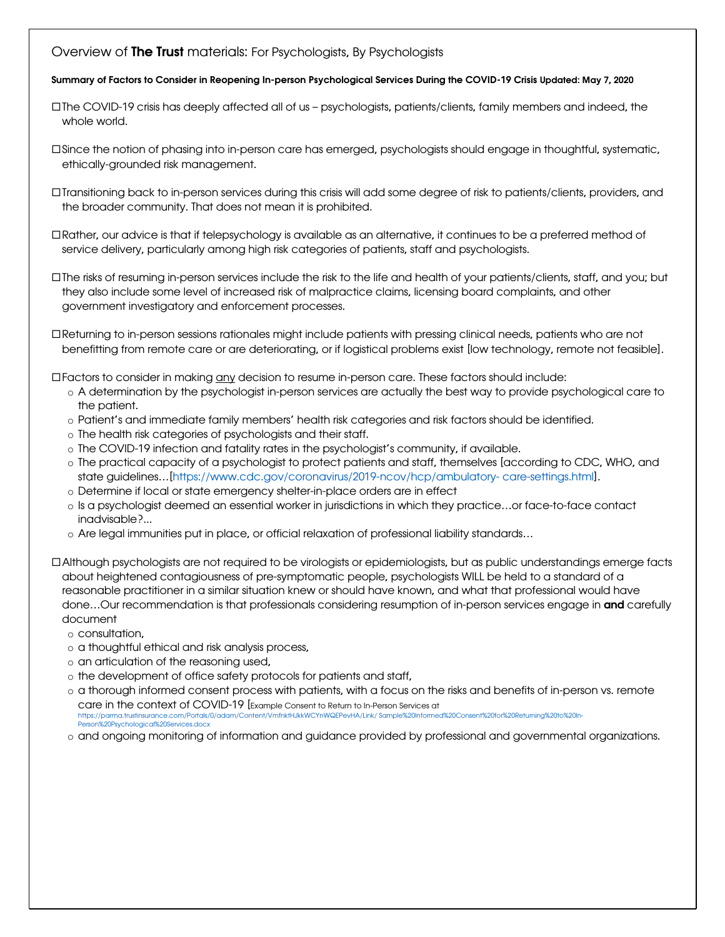### Overview of The Trust materials: For Psychologists, By Psychologists

### Summary of Factors to Consider in Reopening In-person Psychological Services During the COVID-19 Crisis Updated: May 7, 2020

- ¨The COVID-19 crisis has deeply affected all of us psychologists, patients/clients, family members and indeed, the whole world.
- ¨Since the notion of phasing into in-person care has emerged, psychologists should engage in thoughtful, systematic, ethically-grounded risk management.
- ¨Transitioning back to in-person services during this crisis will add some degree of risk to patients/clients, providers, and the broader community. That does not mean it is prohibited.
- ¨Rather, our advice is that if telepsychology is available as an alternative, it continues to be a preferred method of service delivery, particularly among high risk categories of patients, staff and psychologists.
- ¨The risks of resuming in-person services include the risk to the life and health of your patients/clients, staff, and you; but they also include some level of increased risk of malpractice claims, licensing board complaints, and other government investigatory and enforcement processes.
- ¨Returning to in-person sessions rationales might include patients with pressing clinical needs, patients who are not benefitting from remote care or are deteriorating, or if logistical problems exist [low technology, remote not feasible].

¨Factors to consider in making any decision to resume in-person care. These factors should include:

- o A determination by the psychologist in-person services are actually the best way to provide psychological care to the patient.
- o Patient's and immediate family members' health risk categories and risk factors should be identified.
- o The health risk categories of psychologists and their staff.
- o The COVID-19 infection and fatality rates in the psychologist's community, if available.
- o The practical capacity of a psychologist to protect patients and staff, themselves [according to CDC, WHO, and state guidelines…[https://www.cdc.gov/coronavirus/2019-ncov/hcp/ambulatory- care-settings.html].
- o Determine if local or state emergency shelter-in-place orders are in effect
- o Is a psychologist deemed an essential worker in jurisdictions in which they practice…or face-to-face contact inadvisable?...
- o Are legal immunities put in place, or official relaxation of professional liability standards…
- ¨Although psychologists are not required to be virologists or epidemiologists, but as public understandings emerge facts about heightened contagiousness of pre-symptomatic people, psychologists WILL be held to a standard of a reasonable practitioner in a similar situation knew or should have known, and what that professional would have done...Our recommendation is that professionals considering resumption of in-person services engage in and carefully document
	- o consultation,
	- o a thoughtful ethical and risk analysis process,
	- o an articulation of the reasoning used,
	- o the development of office safety protocols for patients and staff,
	- o a thorough informed consent process with patients, with a focus on the risks and benefits of in-person vs. remote care in the context of COVID-19 [Example Consent to Return to In-Person Services at https://parma.trustinsurance.com/Portals/0/adam/Content/VmfnktHJkkWCYnWQEPevHA/Link/ Sample%20Informed%20Consent%20for%20Returning%20to%20In-Person%20Psychological%20Services.docx
	- o and ongoing monitoring of information and guidance provided by professional and governmental organizations.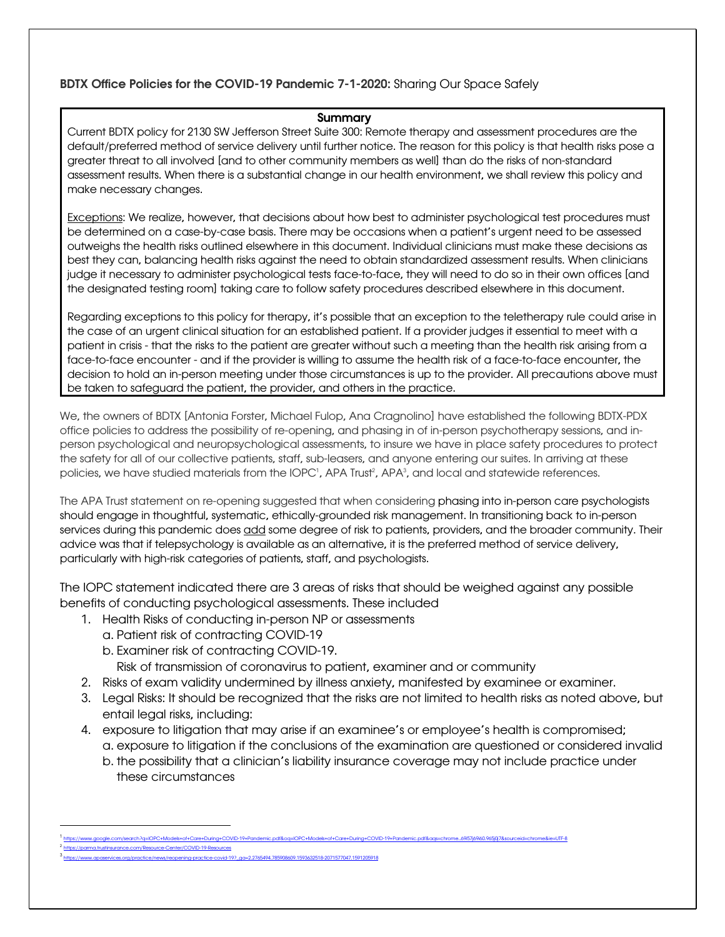### Summary

Current BDTX policy for 2130 SW Jefferson Street Suite 300: Remote therapy and assessment procedures are the default/preferred method of service delivery until further notice. The reason for this policy is that health risks pose a greater threat to all involved [and to other community members as well] than do the risks of non-standard assessment results. When there is a substantial change in our health environment, we shall review this policy and make necessary changes.

Exceptions: We realize, however, that decisions about how best to administer psychological test procedures must be determined on a case-by-case basis. There may be occasions when a patient's urgent need to be assessed outweighs the health risks outlined elsewhere in this document. Individual clinicians must make these decisions as best they can, balancing health risks against the need to obtain standardized assessment results. When clinicians judge it necessary to administer psychological tests face-to-face, they will need to do so in their own offices [and the designated testing room] taking care to follow safety procedures described elsewhere in this document.

Regarding exceptions to this policy for therapy, it's possible that an exception to the teletherapy rule could arise in the case of an urgent clinical situation for an established patient. If a provider judges it essential to meet with a patient in crisis - that the risks to the patient are greater without such a meeting than the health risk arising from a face-to-face encounter - and if the provider is willing to assume the health risk of a face-to-face encounter, the decision to hold an in-person meeting under those circumstances is up to the provider. All precautions above must be taken to safeguard the patient, the provider, and others in the practice.

We, the owners of BDTX [Antonia Forster, Michael Fulop, Ana Cragnolino] have established the following BDTX-PDX office policies to address the possibility of re-opening, and phasing in of in-person psychotherapy sessions, and inperson psychological and neuropsychological assessments, to insure we have in place safety procedures to protect the safety for all of our collective patients, staff, sub-leasers, and anyone entering our suites. In arriving at these policies, we have studied materials from the IOPC', APA Trust<sup>2</sup>, APA<sup>3</sup>, and local and statewide references.

The APA Trust statement on re-opening suggested that when considering phasing into in-person care psychologists should engage in thoughtful, systematic, ethically-grounded risk management. In transitioning back to in-person services during this pandemic does add some degree of risk to patients, providers, and the broader community. Their advice was that if telepsychology is available as an alternative, it is the preferred method of service delivery, particularly with high-risk categories of patients, staff, and psychologists.

The IOPC statement indicated there are 3 areas of risks that should be weighed against any possible benefits of conducting psychological assessments. These included

- 1. Health Risks of conducting in-person NP or assessments
	- a. Patient risk of contracting COVID-19
	- b. Examiner risk of contracting COVID-19.
		- Risk of transmission of coronavirus to patient, examiner and or community
- 2. Risks of exam validity undermined by illness anxiety, manifested by examinee or examiner.
- 3. Legal Risks: It should be recognized that the risks are not limited to health risks as noted above, but entail legal risks, including:
- 4. exposure to litigation that may arise if an examinee's or employee's health is compromised; a. exposure to litigation if the conclusions of the examination are questioned or considered invalid
	- b. the possibility that a clinician's liability insurance coverage may not include practice under these circumstances

<sup>1</sup> https://www.google.com/search?q=IOPC+Models+of+Care+During+COVID-19+Pandemic.pdf&oq=IOPC+Models+of+Care+During+COVID-19+Pandemic.pdf&aqs=chrome..69i57j69i60.965j0j7&sourceid=chrome&ie=UTF-8 <sup>2</sup> https://parma.trustinsurance.com/Resource-Center/COVID-19-Resources

<sup>3&</sup>lt;br>3 https://www.apaservices.org/practice/news/reopening-practice-covid-19?\_ga=2.2765494.785908609.1593632518-2071577047.1591205918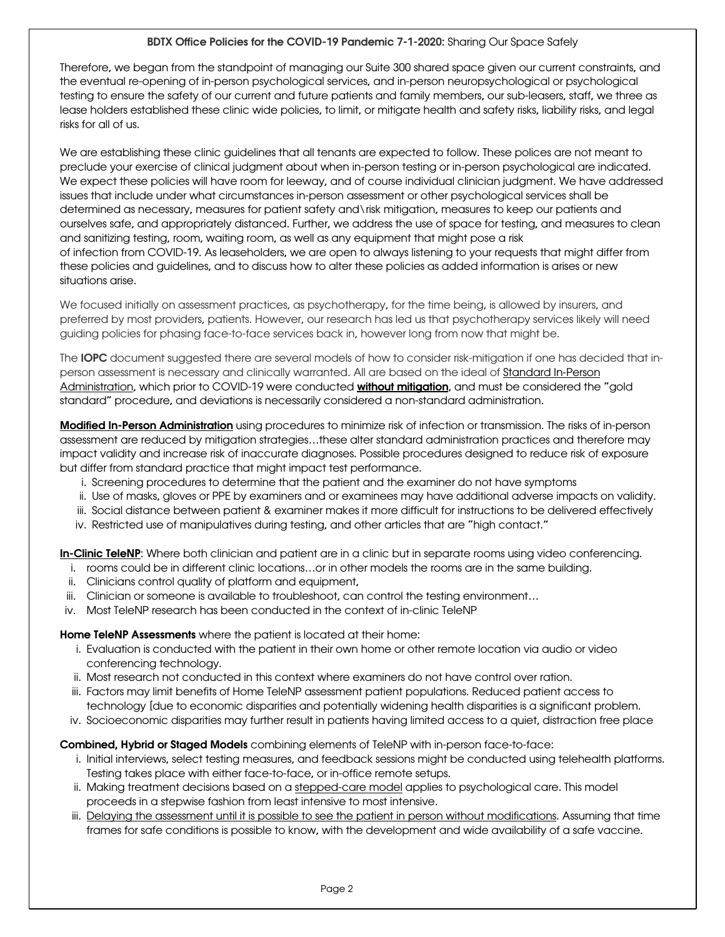Therefore, we began from the standpoint of managing our Suite 300 shared space given our current constraints, and the eventual re-opening of in-person psychological services, and in-person neuropsychological or psychological testing to ensure the safety of our current and future patients and family members, our sub-leasers, staff, we three as lease holders established these clinic wide policies, to limit, or mitigate health and safety risks, liability risks, and legal risks for all of us.

We are establishing these clinic guidelines that all tenants are expected to follow. These polices are not meant to preclude your exercise of clinical judgment about when in-person testing or in-person psychological are indicated. We expect these policies will have room for leeway, and of course individual clinician judgment. We have addressed issues that include under what circumstances in-person assessment or other psychological services shall be determined as necessary, measures for patient safety and\risk mitigation, measures to keep our patients and ourselves safe, and appropriately distanced. Further, we address the use of space for testing, and measures to clean and sanitizing testing, room, waiting room, as well as any equipment that might pose a risk of infection from COVID-19. As leaseholders, we are open to always listening to your requests that might differ from these policies and guidelines, and to discuss how to alter these policies as added information is arises or new situations arise.

We focused initially on assessment practices, as psychotherapy, for the time being, is allowed by insurers, and preferred by most providers, patients. However, our research has led us that psychotherapy services likely will need guiding policies for phasing face-to-face services back in, however long from now that might be.

The IOPC document suggested there are several models of how to consider risk-mitigation if one has decided that inperson assessment is necessary and clinically warranted. All are based on the ideal of Standard In-Person Administration, which prior to COVID-19 were conducted without mitigation, and must be considered the "gold standard" procedure, and deviations is necessarily considered a non-standard administration.

Modified In-Person Administration using procedures to minimize risk of infection or transmission. The risks of in-person assessment are reduced by mitigation strategies…these alter standard administration practices and therefore may impact validity and increase risk of inaccurate diagnoses. Possible procedures designed to reduce risk of exposure but differ from standard practice that might impact test performance.

- i. Screening procedures to determine that the patient and the examiner do not have symptoms
- ii. Use of masks, gloves or PPE by examiners and or examinees may have additional adverse impacts on validity.
- iii. Social distance between patient & examiner makes it more difficult for instructions to be delivered effectively
- iv. Restricted use of manipulatives during testing, and other articles that are "high contact."

In-Clinic TeleNP: Where both clinician and patient are in a clinic but in separate rooms using video conferencing.

- i. rooms could be in different clinic locations…or in other models the rooms are in the same building.
- ii. Clinicians control quality of platform and equipment,
- iii. Clinician or someone is available to troubleshoot, can control the testing environment…
- iv. Most TeleNP research has been conducted in the context of in-clinic TeleNP

Home TeleNP Assessments where the patient is located at their home:

- i. Evaluation is conducted with the patient in their own home or other remote location via audio or video conferencing technology.
- ii. Most research not conducted in this context where examiners do not have control over ration.
- iii. Factors may limit benefits of Home TeleNP assessment patient populations. Reduced patient access to
- technology [due to economic disparities and potentially widening health disparities is a significant problem.
- iv. Socioeconomic disparities may further result in patients having limited access to a quiet, distraction free place

Combined, Hybrid or Staged Models combining elements of TeleNP with in-person face-to-face:

- i. Initial interviews, select testing measures, and feedback sessions might be conducted using telehealth platforms. Testing takes place with either face-to-face, or in-office remote setups.
- ii. Making treatment decisions based on a stepped-care model applies to psychological care. This model proceeds in a stepwise fashion from least intensive to most intensive.
- iii. Delaying the assessment until it is possible to see the patient in person without modifications. Assuming that time frames for safe conditions is possible to know, with the development and wide availability of a safe vaccine.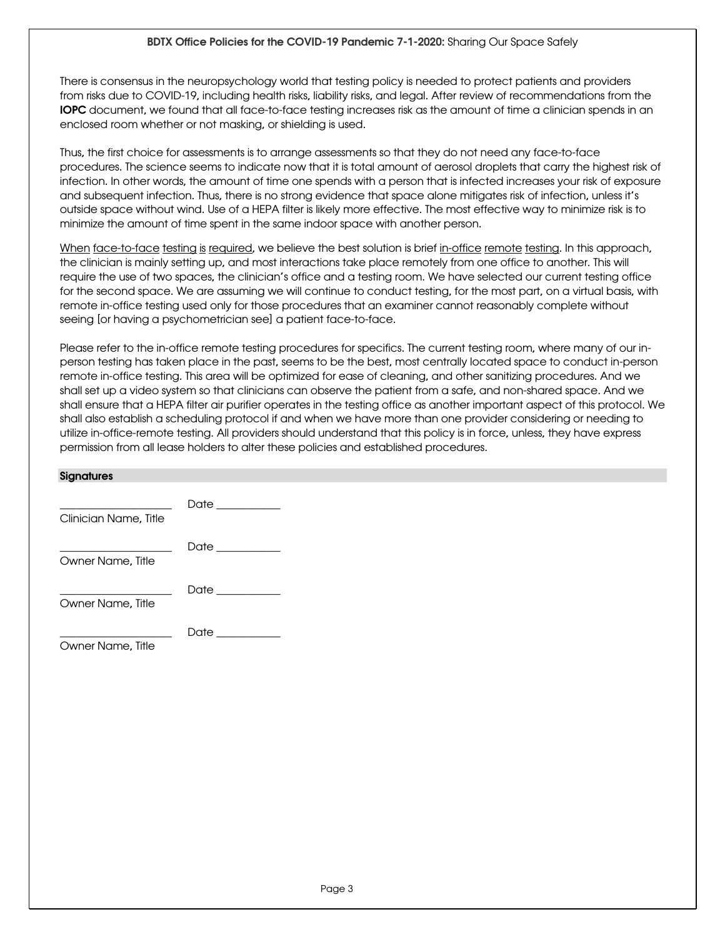There is consensus in the neuropsychology world that testing policy is needed to protect patients and providers from risks due to COVID-19, including health risks, liability risks, and legal. After review of recommendations from the IOPC document, we found that all face-to-face testing increases risk as the amount of time a clinician spends in an enclosed room whether or not masking, or shielding is used.

Thus, the first choice for assessments is to arrange assessments so that they do not need any face-to-face procedures. The science seems to indicate now that it is total amount of aerosol droplets that carry the highest risk of infection. In other words, the amount of time one spends with a person that is infected increases your risk of exposure and subsequent infection. Thus, there is no strong evidence that space alone mitigates risk of infection, unless it's outside space without wind. Use of a HEPA filter is likely more effective. The most effective way to minimize risk is to minimize the amount of time spent in the same indoor space with another person.

When face-to-face testing is required, we believe the best solution is brief in-office remote testing. In this approach, the clinician is mainly setting up, and most interactions take place remotely from one office to another. This will require the use of two spaces, the clinician's office and a testing room. We have selected our current testing office for the second space. We are assuming we will continue to conduct testing, for the most part, on a virtual basis, with remote in-office testing used only for those procedures that an examiner cannot reasonably complete without seeing [or having a psychometrician see] a patient face-to-face.

Please refer to the in-office remote testing procedures for specifics. The current testing room, where many of our inperson testing has taken place in the past, seems to be the best, most centrally located space to conduct in-person remote in-office testing. This area will be optimized for ease of cleaning, and other sanitizing procedures. And we shall set up a video system so that clinicians can observe the patient from a safe, and non-shared space. And we shall ensure that a HEPA filter air purifier operates in the testing office as another important aspect of this protocol. We shall also establish a scheduling protocol if and when we have more than one provider considering or needing to utilize in-office-remote testing. All providers should understand that this policy is in force, unless, they have express permission from all lease holders to alter these policies and established procedures.

| <b>Signatures</b>     |                   |
|-----------------------|-------------------|
| Clinician Name, Title | Date __________   |
| Owner Name, Title     | Date ___________  |
| Owner Name, Title     | Date ___________  |
| Owner Name, Title     | Date ____________ |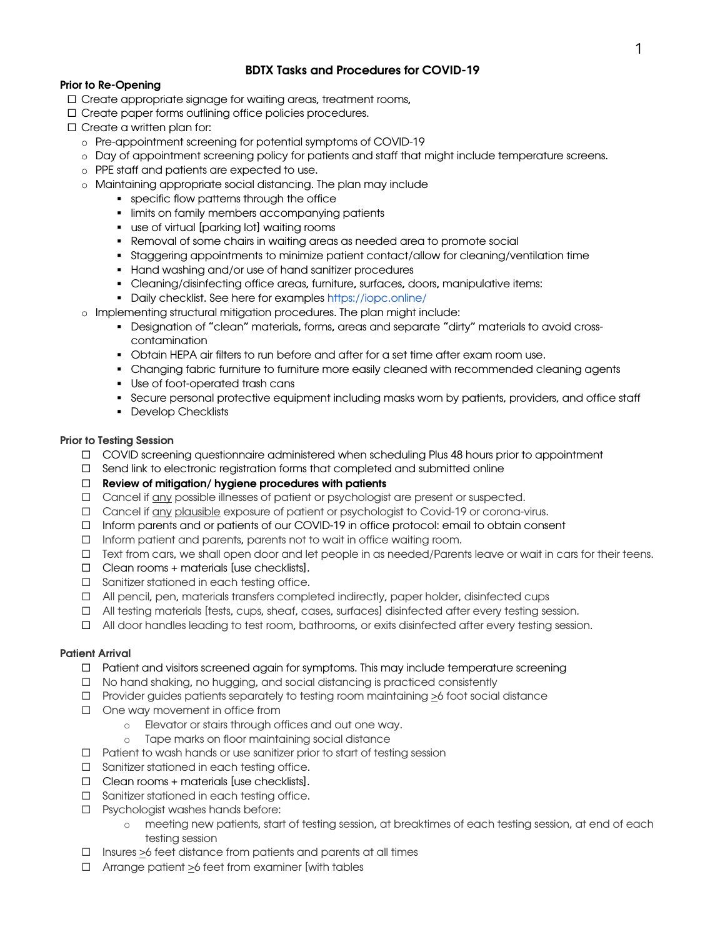### BDTX Tasks and Procedures for COVID-19

### Prior to Re-Opening

- $\square$  Create appropriate signage for waiting areas, treatment rooms,
- $\square$  Create paper forms outlining office policies procedures.
- $\square$  Create a written plan for:
	- o Pre-appointment screening for potential symptoms of COVID-19
	- o Day of appointment screening policy for patients and staff that might include temperature screens.
	- o PPE staff and patients are expected to use.
	- o Maintaining appropriate social distancing. The plan may include
		- § specific flow patterns through the office
		- limits on family members accompanying patients
		- use of virtual [parking lot] waiting rooms
		- Removal of some chairs in waiting areas as needed area to promote social
		- § Staggering appointments to minimize patient contact/allow for cleaning/ventilation time
		- § Hand washing and/or use of hand sanitizer procedures
		- § Cleaning/disinfecting office areas, furniture, surfaces, doors, manipulative items:
		- Daily checklist. See here for examples https://iopc.online/
	- o Implementing structural mitigation procedures. The plan might include:
		- § Designation of "clean" materials, forms, areas and separate "dirty" materials to avoid crosscontamination
		- § Obtain HEPA air filters to run before and after for a set time after exam room use.
		- Changing fabric furniture to furniture more easily cleaned with recommended cleaning agents
		- § Use of foot-operated trash cans
		- Secure personal protective equipment including masks worn by patients, providers, and office staff
		- Develop Checklists

### Prior to Testing Session

- □ COVID screening questionnaire administered when scheduling Plus 48 hours prior to appointment
- $\square$  Send link to electronic registration forms that completed and submitted online
- $\Box$  Review of mitigation/ hygiene procedures with patients
- $\Box$  Cancel if any possible illnesses of patient or psychologist are present or suspected.
- □ Cancel if any plausible exposure of patient or psychologist to Covid-19 or corona-virus.
- □ Inform parents and or patients of our COVID-19 in office protocol: email to obtain consent
- $\Box$  Inform patient and parents, parents not to wait in office waiting room.
- □ Text from cars, we shall open door and let people in as needed/Parents leave or wait in cars for their teens.
- $\Box$  Clean rooms + materials [use checklists].
- $\square$  Sanitizer stationed in each testing office.
- $\Box$  All pencil, pen, materials transfers completed indirectly, paper holder, disinfected cups
- $\Box$  All testing materials [tests, cups, sheaf, cases, surfaces] disinfected after every testing session.
- □ All door handles leading to test room, bathrooms, or exits disinfected after every testing session.

### Patient Arrival

- $\Box$  Patient and visitors screened again for symptoms. This may include temperature screening
- □ No hand shaking, no hugging, and social distancing is practiced consistently
- $\Box$  Provider guides patients separately to testing room maintaining  $>6$  foot social distance
- $\square$  One way movement in office from
	- o Elevator or stairs through offices and out one way.
	- o Tape marks on floor maintaining social distance
- $\Box$  Patient to wash hands or use sanitizer prior to start of testing session
- $\square$  Sanitizer stationed in each testing office.
- $\Box$  Clean rooms + materials [use checklists].
- $\square$  Sanitizer stationed in each testing office.
- $\square$  Psychologist washes hands before:
	- o meeting new patients, start of testing session, at breaktimes of each testing session, at end of each testing session
- $\Box$  Insures >6 feet distance from patients and parents at all times
- $\Box$  Arrange patient >6 feet from examiner [with tables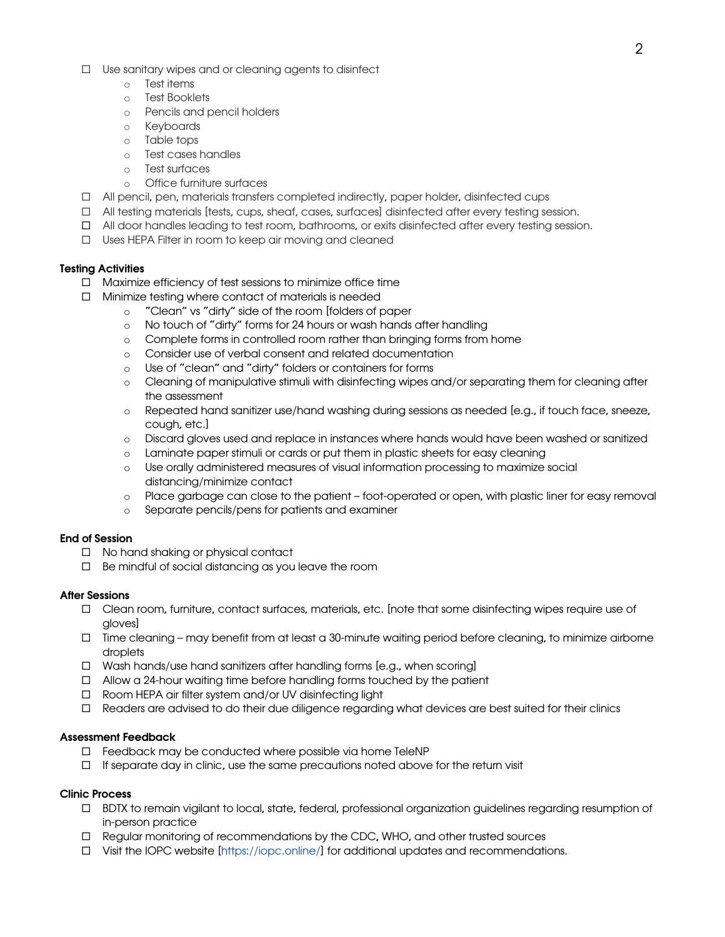- $\Box$  Use sanitary wipes and or cleaning agents to disinfect
	- o Test items
	- o Test Booklets
	- o Pencils and pencil holders
	- o Keyboards
	- o Table tops
	- o Test cases handles
	- o Test surfaces
	- o Office furniture surfaces
- $\Box$  All pencil, pen, materials transfers completed indirectly, paper holder, disinfected cups
- $\Box$  All testing materials [tests, cups, sheaf, cases, surfaces] disinfected after every testing session.
- $\Box$  All door handles leading to test room, bathrooms, or exits disinfected after every testing session.
- $\square$  Uses HEPA Filter in room to keep air moving and cleaned

### Testing Activities

- $\Box$  Maximize efficiency of test sessions to minimize office time
- $\square$  Minimize testing where contact of materials is needed
	- o "Clean" vs "dirty" side of the room [folders of paper
	- o No touch of "dirty" forms for 24 hours or wash hands after handling
	- o Complete forms in controlled room rather than bringing forms from home
	- o Consider use of verbal consent and related documentation
	- o Use of "clean" and "dirty" folders or containers for forms
	- o Cleaning of manipulative stimuli with disinfecting wipes and/or separating them for cleaning after the assessment
	- o Repeated hand sanitizer use/hand washing during sessions as needed [e.g., if touch face, sneeze, cough, etc.]
	- o Discard gloves used and replace in instances where hands would have been washed or sanitized
	- o Laminate paper stimuli or cards or put them in plastic sheets for easy cleaning
	- o Use orally administered measures of visual information processing to maximize social distancing/minimize contact
	- o Place garbage can close to the patient foot-operated or open, with plastic liner for easy removal
	- o Separate pencils/pens for patients and examiner

### End of Session

- $\Box$  No hand shaking or physical contact
- $\square$  Be mindful of social distancing as you leave the room

### After Sessions

- □ Clean room, furniture, contact surfaces, materials, etc. [note that some disinfecting wipes require use of gloves]
- ¨ Time cleaning may benefit from at least a 30-minute waiting period before cleaning, to minimize airborne droplets
- $\Box$  Wash hands/use hand sanitizers after handling forms [e.g., when scoring]
- $\Box$  Allow a 24-hour waiting time before handling forms touched by the patient
- □ Room HEPA air filter system and/or UV disinfecting light
- $\Box$  Readers are advised to do their due diligence regarding what devices are best suited for their clinics

### Assessment Feedback

- $\Box$  Feedback may be conducted where possible via home TeleNP
- $\Box$  If separate day in clinic, use the same precautions noted above for the return visit

### Clinic Process

- ¨ BDTX to remain vigilant to local, state, federal, professional organization guidelines regarding resumption of in-person practice
- $\Box$  Regular monitoring of recommendations by the CDC, WHO, and other trusted sources
- $\square$  Visit the IOPC website [https://iopc.online/] for additional updates and recommendations.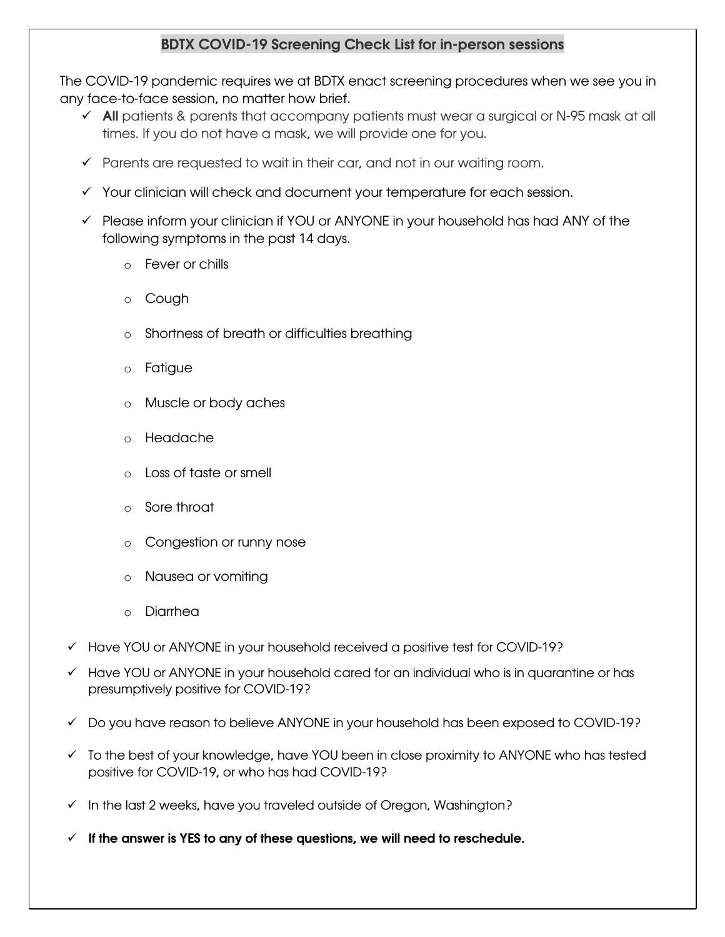# BDTX COVID-19 Screening Check List for in-person sessions

The COVID-19 pandemic requires we at BDTX enact screening procedures when we see you in any face-to-face session, no matter how brief.

- $\checkmark$  All patients & parents that accompany patients must wear a surgical or N-95 mask at all times. If you do not have a mask, we will provide one for you.
- $\checkmark$  Parents are requested to wait in their car, and not in our waiting room.
- $\checkmark$  Your clinician will check and document your temperature for each session.
- $\checkmark$  Please inform your clinician if YOU or ANYONE in your household has had ANY of the following symptoms in the past 14 days.
	- o Fever or chills
	- o Cough
	- o Shortness of breath or difficulties breathing
	- o Fatigue
	- o Muscle or body aches
	- o Headache
	- Loss of taste or smell
	- o Sore throat
	- o Congestion or runny nose
	- o Nausea or vomiting
	- o Diarrhea
- ü Have YOU or ANYONE in your household received a positive test for COVID-19?
- $\checkmark$  Have YOU or ANYONE in your household cared for an individual who is in quarantine or has presumptively positive for COVID-19?
- $\checkmark$  Do you have reason to believe ANYONE in your household has been exposed to COVID-19?
- $\checkmark$  To the best of your knowledge, have YOU been in close proximity to ANYONE who has tested positive for COVID-19, or who has had COVID-19?
- $\checkmark$  In the last 2 weeks, have you traveled outside of Oregon, Washington?
- $\checkmark$  If the answer is YES to any of these questions, we will need to reschedule.